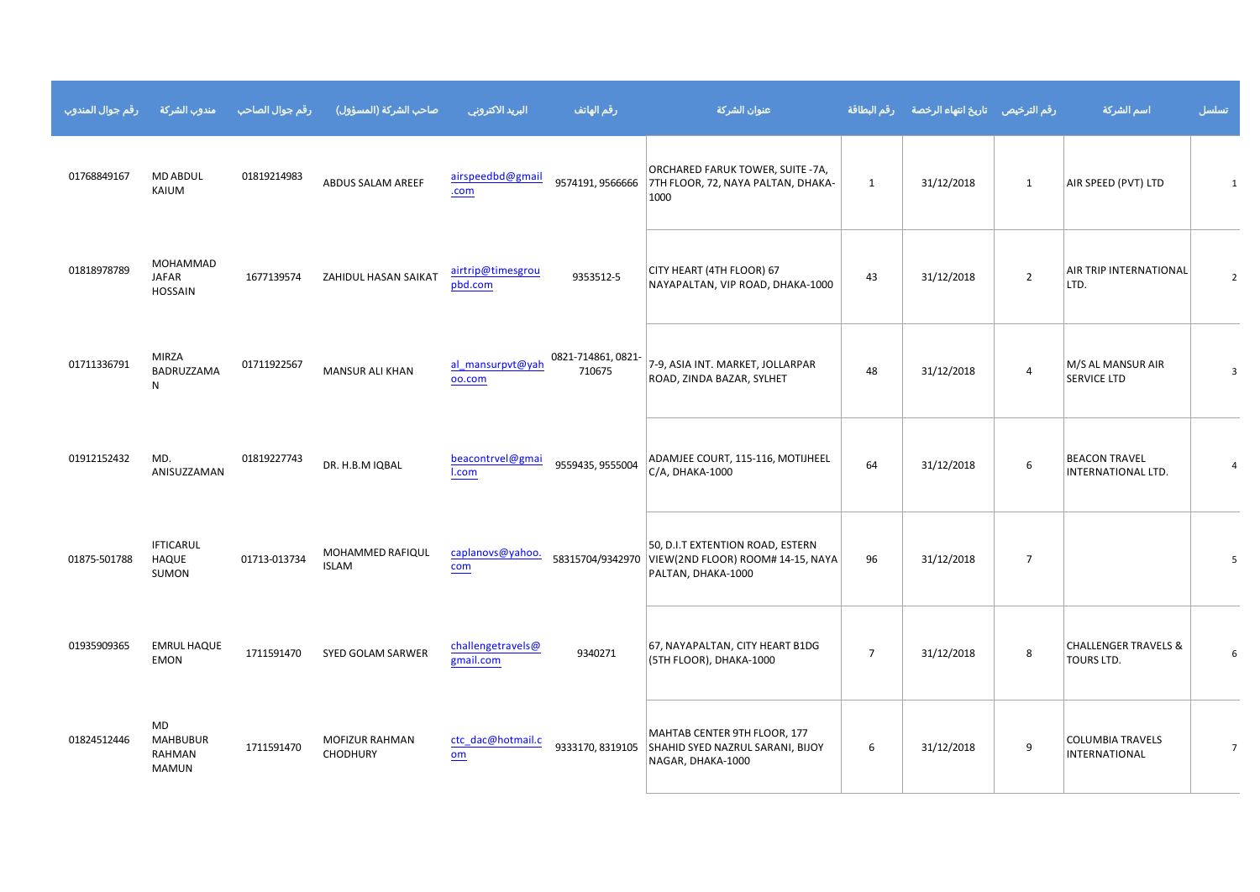|                                                                                    | $.#1 +$ ) - #1 / %& ) - }#* +( %&' " # \$                                                                                                                                                                                                                                                                                                |                                                                                                                                                                                                                                                                                                                                                                                                                                     |                                                                                  |                |                |                                       |              |
|------------------------------------------------------------------------------------|------------------------------------------------------------------------------------------------------------------------------------------------------------------------------------------------------------------------------------------------------------------------------------------------------------------------------------------|-------------------------------------------------------------------------------------------------------------------------------------------------------------------------------------------------------------------------------------------------------------------------------------------------------------------------------------------------------------------------------------------------------------------------------------|----------------------------------------------------------------------------------|----------------|----------------|---------------------------------------|--------------|
| $\#$ " $\#$<br>% $\frac{6}{9}$<br>$\%$                                             | $\overline{\phantom{a}}$<br>$\sqrt[6]{3}$<br>$\%$                                                                                                                                                                                                                                                                                        | $ !$ $"$ $!$ $\#$ $\#$ $\#$ $\#$                                                                                                                                                                                                                                                                                                                                                                                                    |                                                                                  |                |                |                                       |              |
| % %%<br>(                                                                          | $\#$ $\qquad$ $\qquad$ $\qquad$ $\qquad$ $\qquad$ $\qquad$ $\qquad$ $\qquad$ $\qquad$ $\qquad$ $\qquad$ $\qquad$ $\qquad$ $\qquad$ $\qquad$ $\qquad$ $\qquad$ $\qquad$ $\qquad$ $\qquad$ $\qquad$ $\qquad$ $\qquad$ $\qquad$ $\qquad$ $\qquad$ $\qquad$ $\qquad$ $\qquad$ $\qquad$ $\qquad$ $\qquad$ $\qquad$ $\qquad$ $\qquad$ $\qquad$ | $\pm 1 \pm 1$                                                                                                                                                                                                                                                                                                                                                                                                                       | $\vert 0 \rangle$<br>$\#$                                                        | $\mathbf{u}$   |                | $\pmb{8}$                             |              |
| # $\frac{\%}{\$}$ '' %                                                             | $\frac{1}{2}$ #<br>$\%$                                                                                                                                                                                                                                                                                                                  | $\begin{array}{c} \text{''} \\ \# \end{array} \begin{array}{c} \text{''} \\ \text{!} \end{array}$                                                                                                                                                                                                                                                                                                                                   | 8%<br>\$'<br>$\overline{a}$<br>$\mathcal{A}^{\text{max}}$                        | $\mathbf{u}$ . | $\mathbf{u}$ . | $\%$<br>$\%$                          |              |
|                                                                                    | "<br>8 & \$ & \$\$                                                                                                                                                                                                                                                                                                                       | $\begin{tabular}{c} \quad \quad & \quad \quad & \quad \quad & \quad \quad \\ \begin{tabular}{c} \quad \quad & \quad \quad & \quad \quad \\ \quad \quad & \quad \quad & \quad \quad \\ \end{tabular} \end{tabular} \begin{tabular}{c} \quad \quad & \quad \quad \\ \quad \quad & \quad \quad \\ \quad \quad & \quad \quad \\ \end{tabular}$                                                                                          | $\%$ (<br>$\frac{1}{2}$ #% (                                                     | $\#$ "         | $\#$           | \$<br>$\pmb{8}$                       | $\mathbf{u}$ |
| $1/1$ and $\sim$<br>)<br>%                                                         | " % % %<br>%<br>$\big)$                                                                                                                                                                                                                                                                                                                  | $\begin{array}{cccccccccc} \textbf{1} & \textbf{1} & \textbf{1} & \textbf{1} & \textbf{1} & \textbf{1} & \textbf{1} & \textbf{1} & \textbf{1} & \textbf{1} & \textbf{1} & \textbf{1} & \textbf{1} & \textbf{1} & \textbf{1} & \textbf{1} & \textbf{1} & \textbf{1} & \textbf{1} & \textbf{1} & \textbf{1} & \textbf{1} & \textbf{1} & \textbf{1} & \textbf{1} & \textbf{1} & \textbf{1} & \textbf{1} & \textbf{1} & \textbf{1} & \$ | $\begin{array}{ccc} . & . & . \\ . & . & . \\ . & . & . \end{array}$<br>$% +$ "! | #              |                |                                       | $\mathbf{I}$ |
| $\frac{1}{\%}$ # ! % $\frac{1}{\%}$<br>$\overline{\phantom{a}}$                    | $\mathbb{R}^n$ . The first part of $\mathbb{R}^n$<br>, 9/6                                                                                                                                                                                                                                                                               |                                                                                                                                                                                                                                                                                                                                                                                                                                     | $\quad$ ,<br>$\#$<br>$\mathbf{I}$                                                |                |                | $\overline{\phantom{a}}$<br>$\cdot$ & | $\#$         |
| $\frac{\%}{\%}$ = 1. $\frac{\%}{\%}$ = 1. $\frac{\%}{\%}$ 5. \$<br>$\frac{\%}{\%}$ | $\%$ $\qquad$ $\%$<br>$\mathbf{q} = \mathbf{q}$ .                                                                                                                                                                                                                                                                                        | $\mathbf{I}$                                                                                                                                                                                                                                                                                                                                                                                                                        | $\%$<br>$\mathfrak s$<br>$\mathcal{L}$<br>$\sqrt[6]{}$<br>$\sim$ $\sim$          | $\#$           |                | $%$ $\updownarrow$                    |              |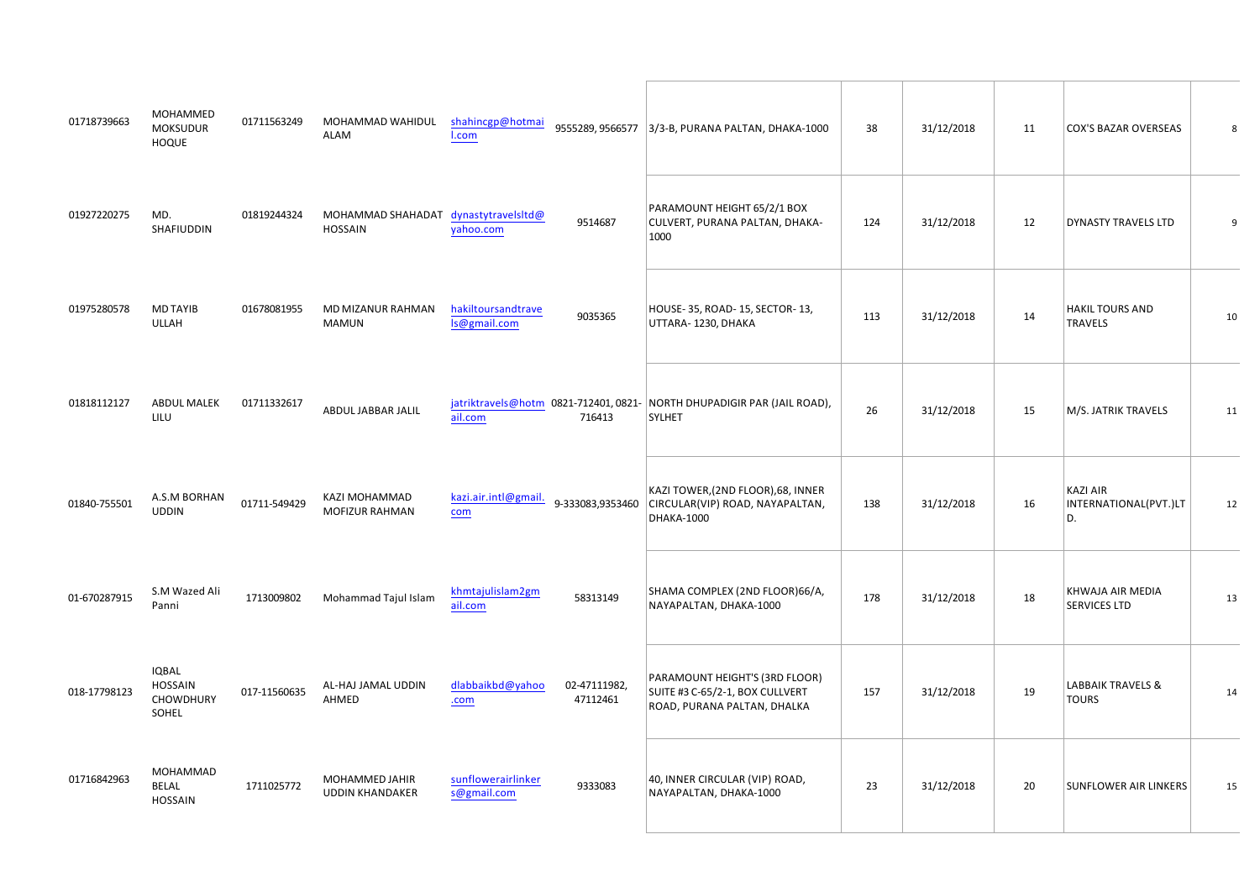| $\%$ %<br>%<br>%<br># $\#$<br>$\rightarrow$         | $\frac{1\#}{\#}$ "%%%                                           | $\frac{1}{2}$      ##                     | $\boldsymbol{\mathsf{\$}}$                          |              |                | $\star$ . $\mathsf{S}$  |           |
|-----------------------------------------------------|-----------------------------------------------------------------|-------------------------------------------|-----------------------------------------------------|--------------|----------------|-------------------------|-----------|
| $\frac{1}{6}$ % &                                   | " " % % %                                                       | $\frac{1}{2}$ $\frac{1}{2}$ $\frac{1}{2}$ | $, \#!$ \$ *<br>%                                   | $\mathbf{u}$ |                |                         |           |
| $\pm 1$ , $\pm 1$<br>$\%$<br>$\frac{1}{2}$          | # !! % % ' %<br>% % %                                           | $!$ #!                                    | $\sim$ 1 $\sim$ 1 $\sim$                            |              | $\mathbf{u}$ . |                         |           |
| $\frac{6}{5}$ %                                     | $\frac{\text{#}}{\text{#}}$ \$ (\$\$ (                          | $\blacksquare$<br>$\#$ "                  | $\overline{\phantom{a}}$ , $\overline{\phantom{a}}$ | $\#$         | $\pm$          | %&                      |           |
| & &\$%<br>$20-111$                                  | $\frac{1}{2}$ " " $\frac{9}{2}$ " $\frac{9}{2}$ " $\frac{9}{2}$ | $1$ "#                                    | $\sim 10^{-1}$<br>$\#$                              |              | $\#$           | $\sim$ 1 $\,$<br>8<br>& |           |
| $\frac{8 \frac{0}{1} 8 \frac{918936}{1$ ;;:<br>$\#$ | $\frac{96}{0}$ 1 2 2 1 8 4 5766 1 -                             | $\mathbf{u}$                              | $\%$ $\%$ $^*$<br>$\#$ $\#$                         |              |                | $\%$<br>$\left($        |           |
| $)$ \$                                              | $!$ # $\#$ ! $\%$ $($ %                                         |                                           | %<br>+ #! $\frac{1}{2}$ *                           | $\sim 1$     |                | \$5<br>$\sim$           |           |
| $%$ %<br># " # $\frac{\%}{\$}$                      | $\frac{1}{1}$ % % (                                             |                                           | $\mathbf{u}$ .                                      |              |                |                         | $\,$ $\,$ |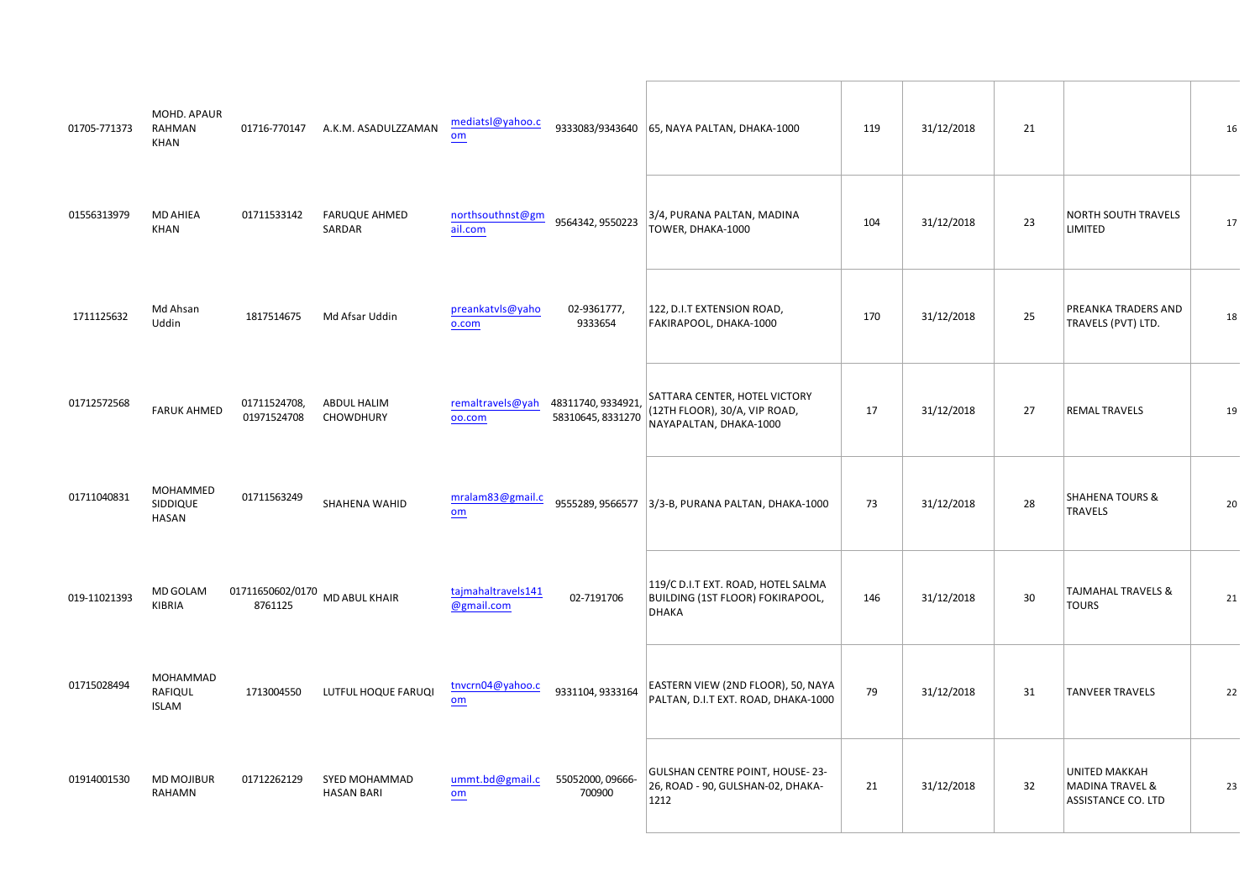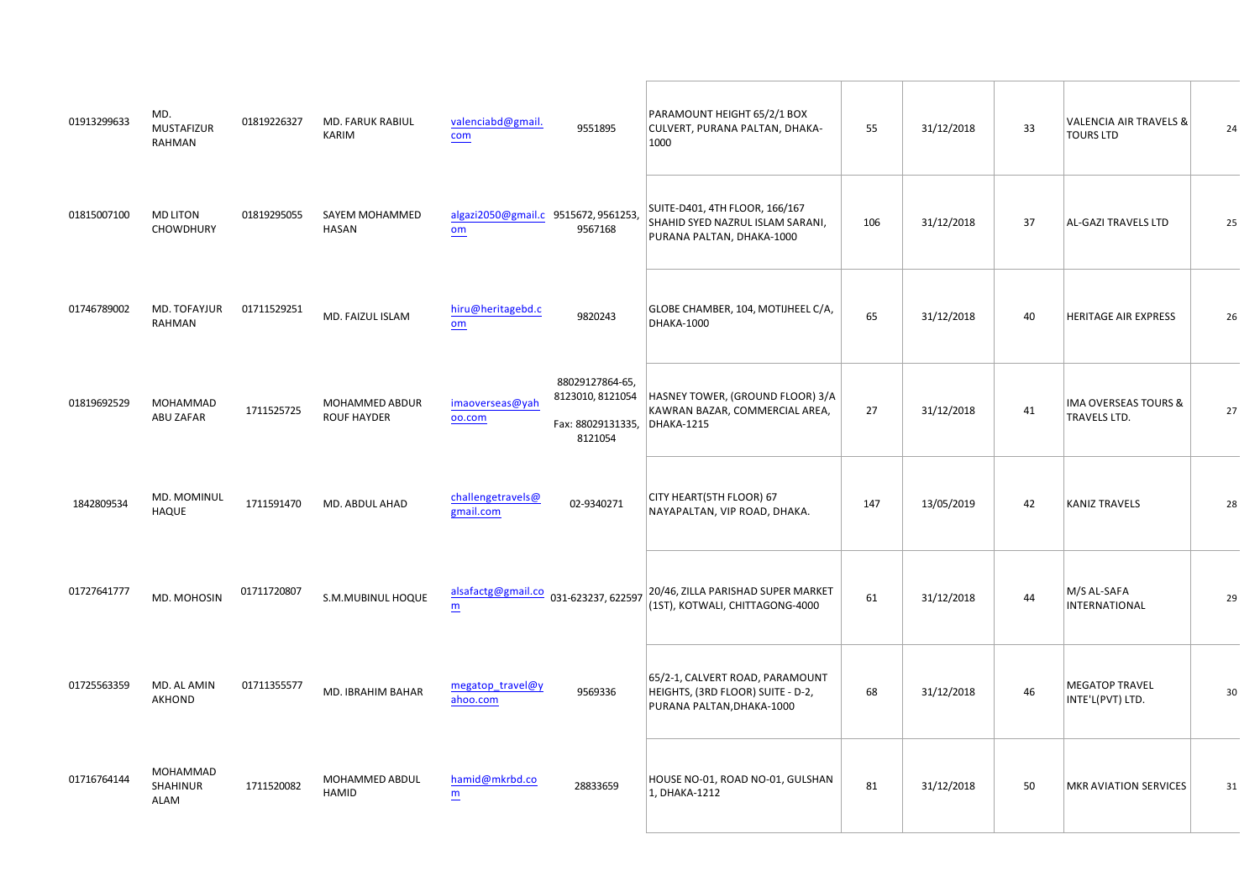| $\#$     | % &<br>$\%$                  | $#$ % &<br>%<br>$\boldsymbol{\mathsf{S}}$ |                                                                                                                                                                                                                                                           | %, #! $\frac{6}{3}$ *                                                                                                                                                                                                                                                                                                                                                                                                                                                                                                                                         | $\sim11$     |         |                   |                                       |          |
|----------|------------------------------|-------------------------------------------|-----------------------------------------------------------------------------------------------------------------------------------------------------------------------------------------------------------------------------------------------------------|---------------------------------------------------------------------------------------------------------------------------------------------------------------------------------------------------------------------------------------------------------------------------------------------------------------------------------------------------------------------------------------------------------------------------------------------------------------------------------------------------------------------------------------------------------------|--------------|---------|-------------------|---------------------------------------|----------|
| $\sim 1$ | $\%$                         | $\pm 11$<br>%%%%                          | $\begin{array}{c c c c c} & & 1 & 1 & 1 & 1 & 1\\ \hline & & & & 1 & 1 & 1 & 1\\ \hline & & & & 1 & 1 & 1 & 1\\ \hline & & & & 1 & 1 & 1 & 1\\ \hline & & & & & 1 & 1 & 1\\ \hline & & & & & 1 & 1 & 1\\ \hline & & & & & 1 & 1 & 1\\ \hline \end{array}$ | $\label{eq:2.1} \begin{split} \mathbf{u} & = \mathbf{u} \cdot \mathbf{u} \quad ,\\ \mathbf{u} & = \mathbf{u} \cdot \mathbf{u} \quad ,\\ \mathbf{u} & = \mathbf{u} \cdot \mathbf{u} \quad , \end{split}$<br>$\begin{matrix} #&\#\\&9'_0\end{matrix}$                                                                                                                                                                                                                                                                                                           | $\#$         |         |                   | $\sim 10^{-10}$                       | $\sim 1$ |
| $"$ #    |                              | %& ( $\frac{1}{\%}$ 1 % & ' % —           | $\mathbf{u}$                                                                                                                                                                                                                                              | $, \$$ %\$ "% (                                                                                                                                                                                                                                                                                                                                                                                                                                                                                                                                               | #!           |         | $\mathbf{u}$      | $\sim$ $\sim$ $\sim$ $\sim$           | $\#$     |
| $#$ !    | $%$ % %<br>\$ '              | $1!$ $1$ % % \$                           | $\#$ " $\; \#$<br>$\sim1$ "<br>$\Gamma^*$                                                                                                                                                                                                                 | $\begin{array}{ccccc}\n\text{\$} & & \text{\quad} & \text{\quad} & \text{\quad} \\ \text{\$} & & \text{\quad} & \text{\quad} & \text{\quad} & \text{\quad} & \text{\quad} & \text{\quad} \\ & & & & & \text{\quad} & \text{\quad} & \text{\quad} & \text{\quad} & \text{\quad} & \text{\quad} \\ & & & & & & \text{\quad} & \text{\quad} & \text{\quad} & \text{\quad} & \text{\quad} & \text{\quad} & \text{\quad} & \text{\quad} & \text{\quad} & \text{\quad} & \text{\quad} & \text{\quad} & \text{\quad} & \text{\quad} & \text{\quad} & \text{\quad} &$ |              |         | $\mathbf{u}$      | $\%$<br>$\overline{\phantom{a}}$<br>& |          |
|          | $\%$ & $\%$<br>$\rightarrow$ | $1''$ % &\$                               | $\mathbf{u}$                                                                                                                                                                                                                                              | $\frac{1}{2}$ $\frac{1}{2}$ $\frac{1}{2}$ $\frac{1}{2}$ $\frac{1}{2}$ $\frac{1}{2}$ $\frac{1}{2}$ $\frac{1}{2}$ $\frac{1}{2}$ $\frac{1}{2}$ $\frac{1}{2}$ $\frac{1}{2}$ $\frac{1}{2}$ $\frac{1}{2}$ $\frac{1}{2}$ $\frac{1}{2}$ $\frac{1}{2}$ $\frac{1}{2}$ $\frac{1}{2}$ $\frac{1}{2}$ $\frac{1}{2}$ $\frac{1}{2}$<br>$\pmb{8}$                                                                                                                                                                                                                              | $\mathbf{u}$ | $\sim1$ | $\mathbf{u}$      | $\sim 10^{11}$                        |          |
| $\#$ "   | % &%                         | $8\%8\%$ \$ )                             | $\#$<br>$\#$ !                                                                                                                                                                                                                                            | $"$ #'<br>$\frac{\%}{\%}$                                                                                                                                                                                                                                                                                                                                                                                                                                                                                                                                     | $\#$         |         | $\alpha$ $\alpha$ | $\%$                                  |          |
|          | $!1$ # $!$ % & %             | $\sim 111$ $\sim$<br>%85<br>ቈ             | $!$ # $\qquad$ #                                                                                                                                                                                                                                          | $\%$<br>#!<br>$\overline{\phantom{a}}$                                                                                                                                                                                                                                                                                                                                                                                                                                                                                                                        | $\#$         |         | " $#$             | $\%$ , $_{\cdot}$<br>$\pmb{8}$        |          |
|          | $\%$ $\%$<br>$\%$            | % % % \$<br>$\mathbf{E}^{(1)}$ and        | $\#$ !                                                                                                                                                                                                                                                    |                                                                                                                                                                                                                                                                                                                                                                                                                                                                                                                                                               |              |         | 4                 | $\%$                                  |          |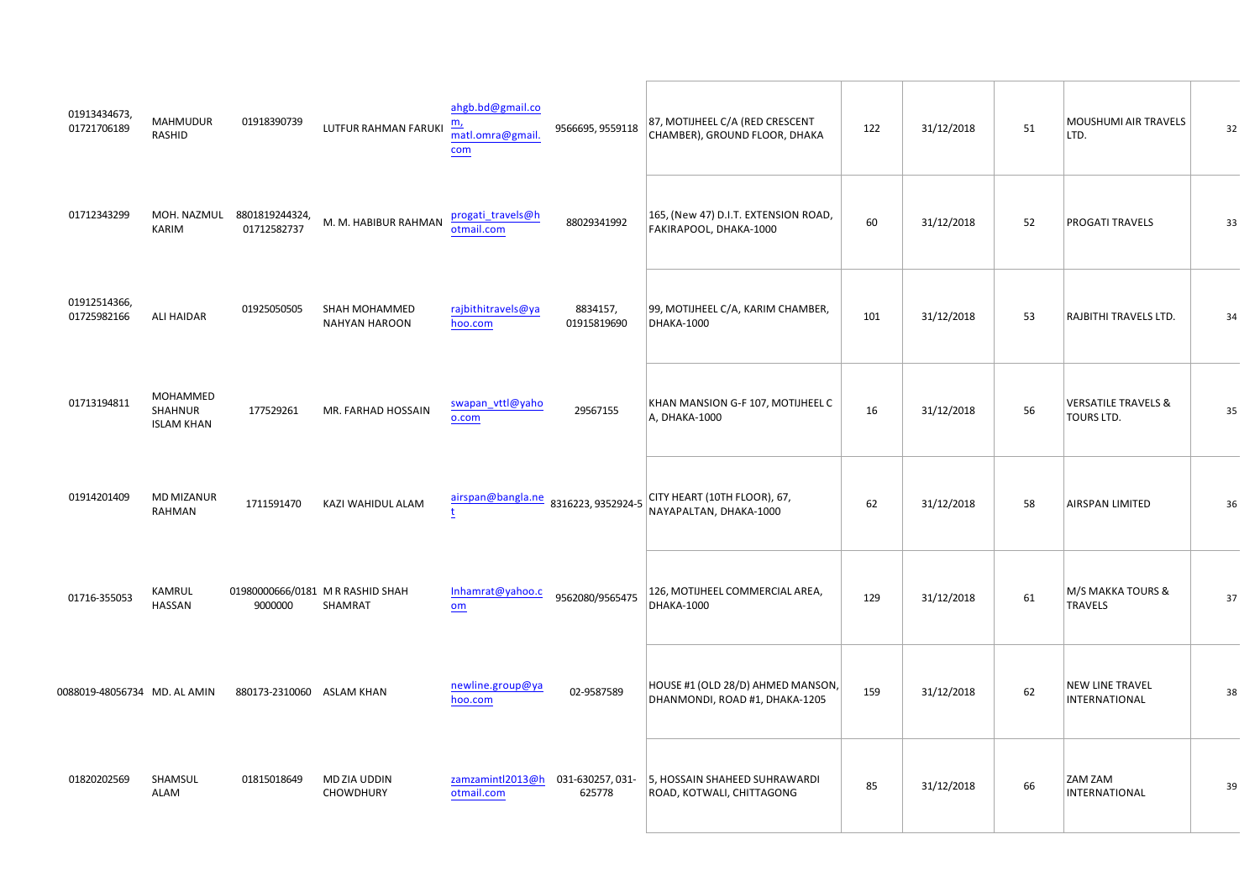| $\begin{array}{c} \hbox{''} \quad \hbox{''} \; \# \\ \# \end{array}$<br>% %                                 | $\%$                                                                                                                           | $\frac{1}{2}$                                                                                                            | ! # # # !!!                                            | $\%$ ( $\%$ \$ $\%$                                                                                                                                                                                                                                                                                                                                                                                                                               |          | $\pm$         | %<br>$\%$<br>8 <sub>8</sub> |              |
|-------------------------------------------------------------------------------------------------------------|--------------------------------------------------------------------------------------------------------------------------------|--------------------------------------------------------------------------------------------------------------------------|--------------------------------------------------------|---------------------------------------------------------------------------------------------------------------------------------------------------------------------------------------------------------------------------------------------------------------------------------------------------------------------------------------------------------------------------------------------------------------------------------------------------|----------|---------------|-----------------------------|--------------|
| $\blacksquare$<br>% & '%<br>%                                                                               | $\begin{array}{ccccc}\n\cdot & \cdot & \cdot & \cdot \\ & \cdot & \cdot & \cdot \\ \cdot & \cdot & \cdot & \cdot\n\end{array}$ | $\%$ $\qquad$                                                                                                            | $\mathbf{u}$                                           | #! 9@ & & * &                                                                                                                                                                                                                                                                                                                                                                                                                                     | $\#$     | $\pm$         | $\mathcal{L}^{\text{max}}$  |              |
| $\frac{1}{2}$ $\frac{1}{2}$ $\frac{1}{2}$ $\frac{1}{2}$ $\frac{1}{2}$ $\frac{1}{2}$ $\frac{1}{2}$<br>$!$ ## | $1.1 \pm 1.1$<br>% %%                                                                                                          |                                                                                                                          | $\begin{array}{cc} 2 & 1 \\ 1 & \# \end{array}$        | % (<br>%%\$                                                                                                                                                                                                                                                                                                                                                                                                                                       |          | $\sim 1$      | $($ \$<br>&                 | $\mathbf{u}$ |
| % %<br>$\%$<br>$\mathbf{u}^{\top}$<br>$\%$                                                                  | $!$ # % &                                                                                                                      |                                                                                                                          | $!$ # $"$ !!                                           | $\%$ ,<br>% (                                                                                                                                                                                                                                                                                                                                                                                                                                     | $\#$     | $\frac{1}{2}$ | $\sim$ $\sim$<br>$\&$       | $\sim 1$     |
| % % ' $\frac{9}{6}$                                                                                         | <b>The Committee</b><br>$\%$                                                                                                   | $\mathcal{L}_{\text{eff}}$                                                                                               | $\sim 10^{-10}$<br>#                                   | $\#$                                                                                                                                                                                                                                                                                                                                                                                                                                              | $\#$     | $\pm$         | $\%$                        | $\#$         |
| $\%$<br>$\#$ 111                                                                                            | ### %<br>%                                                                                                                     | $\frac{\$}{\qquad}$  #                                                                                                   | $!$ # ! "                                              | # $%$ (<br>$\%$ $\%$                                                                                                                                                                                                                                                                                                                                                                                                                              |          | $\#$          | $\%$ $\%$<br>$\sim$         |              |
| " !# % & %                                                                                                  | $\#$<br>$\%$                                                                                                                   |                                                                                                                          | $\sim$ $-1$ $-1$                                       | $\frac{\%}{\frac{1}{\sqrt{1-\frac{1}{\sqrt{1-\frac{1}{\sqrt{1-\frac{1}{\sqrt{1-\frac{1}{\sqrt{1-\frac{1}{\sqrt{1-\frac{1}{\sqrt{1-\frac{1}{\sqrt{1-\frac{1}{\sqrt{1-\frac{1}{\sqrt{1-\frac{1}{\sqrt{1-\frac{1}{\sqrt{1-\frac{1}{\sqrt{1-\frac{1}{\sqrt{1-\frac{1}{\sqrt{1-\frac{1}{\sqrt{1-\frac{1}{\sqrt{1-\frac{1}{\sqrt{1-\frac{1}{\sqrt{1-\frac{1}{\sqrt{1-\frac{1}{\sqrt{1-\frac{1}{\sqrt{1-\frac{1}{\sqrt{1-\frac{1}{\sqrt{$<br>$+$<br>$\%$ | $\sim 1$ | $\#$          |                             |              |
| !#<br>$\%$<br>$\%$                                                                                          | $!$ #" % '                                                                                                                     | $\frac{1}{\sqrt{2\pi}}\frac{1}{\sqrt{2\pi}}\left(\frac{1}{\sqrt{2\pi}}\right)^{2}\left(\frac{1}{\sqrt{2\pi}}\right)^{2}$ | $\begin{array}{cc} \# & \bot \\ \# & \bot \end{array}$ | $\vert \bot \vert$<br>$\frac{1}{2}$                                                                                                                                                                                                                                                                                                                                                                                                               | $\sim 1$ | ##            | $96'$ %                     |              |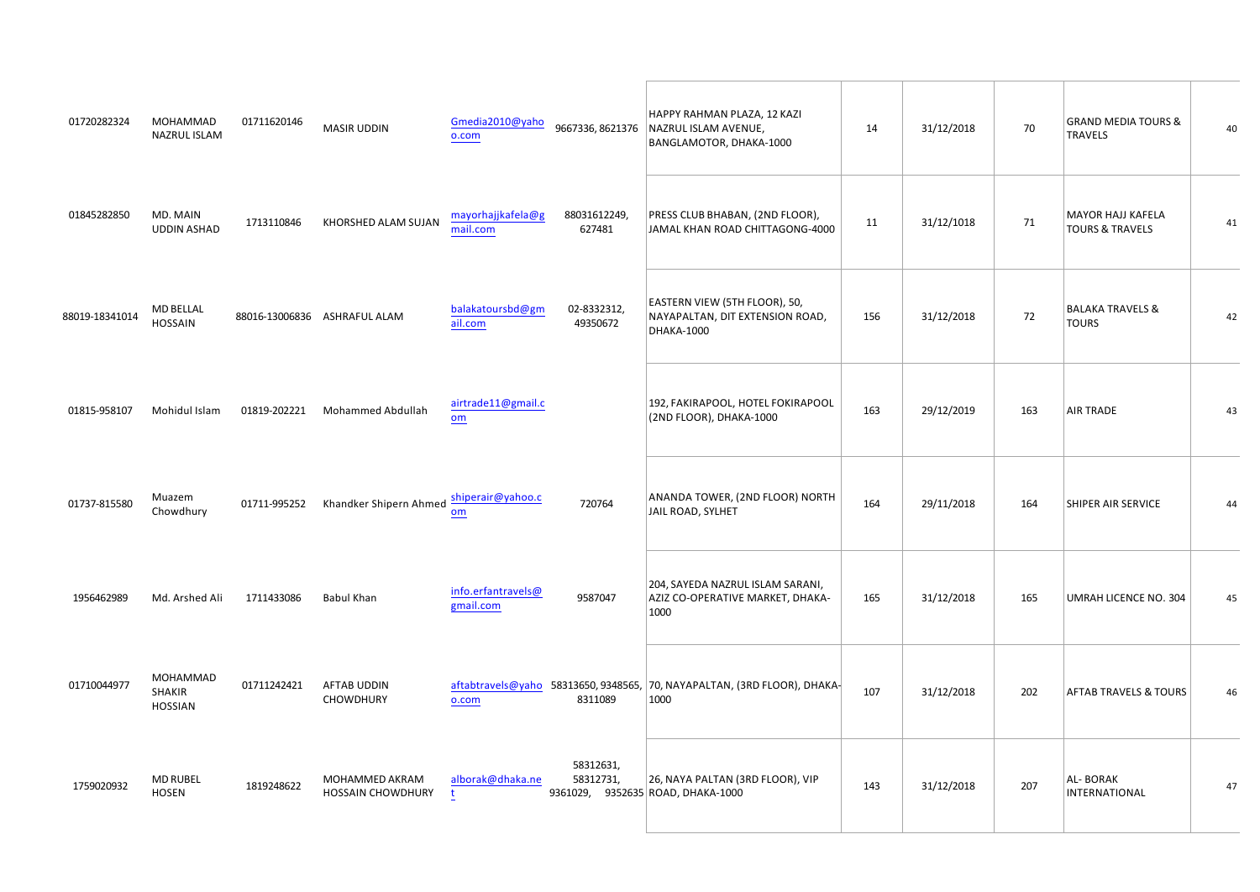|                     | $\frac{1}{\sqrt{2}}$ % % c<br>$\overline{9}$ | $\frac{96}{11}$ ## ##<br># $"#$ %<br><b>CONTRACTOR</b><br>#                                                                                                                                                                                                                                                                                                                   | and the control of<br>$\%$<br>$\mathbf{u}$ .<br>$\%$<br>$\,$ $\,$ , $\,$ % | $\%$                                        |                 |
|---------------------|----------------------------------------------|-------------------------------------------------------------------------------------------------------------------------------------------------------------------------------------------------------------------------------------------------------------------------------------------------------------------------------------------------------------------------------|----------------------------------------------------------------------------|---------------------------------------------|-----------------|
| "!! % $\frac{2}{1}$ |                                              | $\begin{array}{ccc}\n&\# & &\text{``}\n\\ &\# & &\text{``}\n\end{array}$<br>$"$ #<br>% (<br>( %)                                                                                                                                                                                                                                                                              | $$\$$ \$<br>$\beta \in \mathbb{R}^{d \times d}$                            | $\%$<br>$($ (<br>$\sim$                     |                 |
|                     | $\sqrt{2}$ $\sqrt{2}$ $\sqrt{6}$             | $\#$<br>$\%$<br>#<br>$"$ ! $\#$                                                                                                                                                                                                                                                                                                                                               | $\frac{1}{\sqrt{2}}$<br>$\sim$ 1<br>!#                                     | $\boldsymbol{\mathsf{S}}$<br>$\blacksquare$ |                 |
| $\pm$ $\pm$         | % / 0:356                                    | $% / 0122983566$ –                                                                                                                                                                                                                                                                                                                                                            | #                                                                          | #                                           |                 |
| $\pm 1$             | %51892<br>0/@305:                            | $1! 01; 3B9 \div C90029 -$<br>$\#$ "                                                                                                                                                                                                                                                                                                                                          | $\#$ "                                                                     | $\#$ "                                      | $\mathbf{u}$ as |
| $!$ # $"$ #         | $%3$ & 7 0 96                                | $\mathbf{H}$<br>$\sim 10^{-1}$ M $_{\odot}$<br>$\sim 10^{-10}$<br>" $\#$ \$1A 5061;                                                                                                                                                                                                                                                                                           | $\mathbf{H}^{\text{max}}$<br>$\%$<br>$\%$<br>#!                            | $\%$<br>#!<br>& "                           | ." J            |
|                     | %<br>% %                                     | $\mathbf{u}=\mathbf{u}$ .<br>$\boldsymbol{\mathsf{S}}$<br>$\frac{1}{2}$ $\frac{1}{2}$ $\frac{1}{2}$ $\frac{1}{2}$ $\frac{1}{2}$ $\frac{1}{2}$ $\frac{1}{2}$ $\frac{1}{2}$ $\frac{1}{2}$ $\frac{1}{2}$ $\frac{1}{2}$ $\frac{1}{2}$ $\frac{1}{2}$ $\frac{1}{2}$ $\frac{1}{2}$ $\frac{1}{2}$ $\frac{1}{2}$ $\frac{1}{2}$ $\frac{1}{2}$ $\frac{1}{2}$ $\frac{1}{2}$ $\frac{1}{2}$ |                                                                            | $\sqrt[6]{3}$<br>$\sim$                     | "#              |
| $\pm$               | % $\frac{1}{2}$                              | #<br>$\cdot$<br>%<br>% %%<br>$\#$<br>$"$ #<br>#<br>$\frac{1}{2}$                                                                                                                                                                                                                                                                                                              | $\mathbf{u}$                                                               | $\boldsymbol{\mathsf{S}}$                   |                 |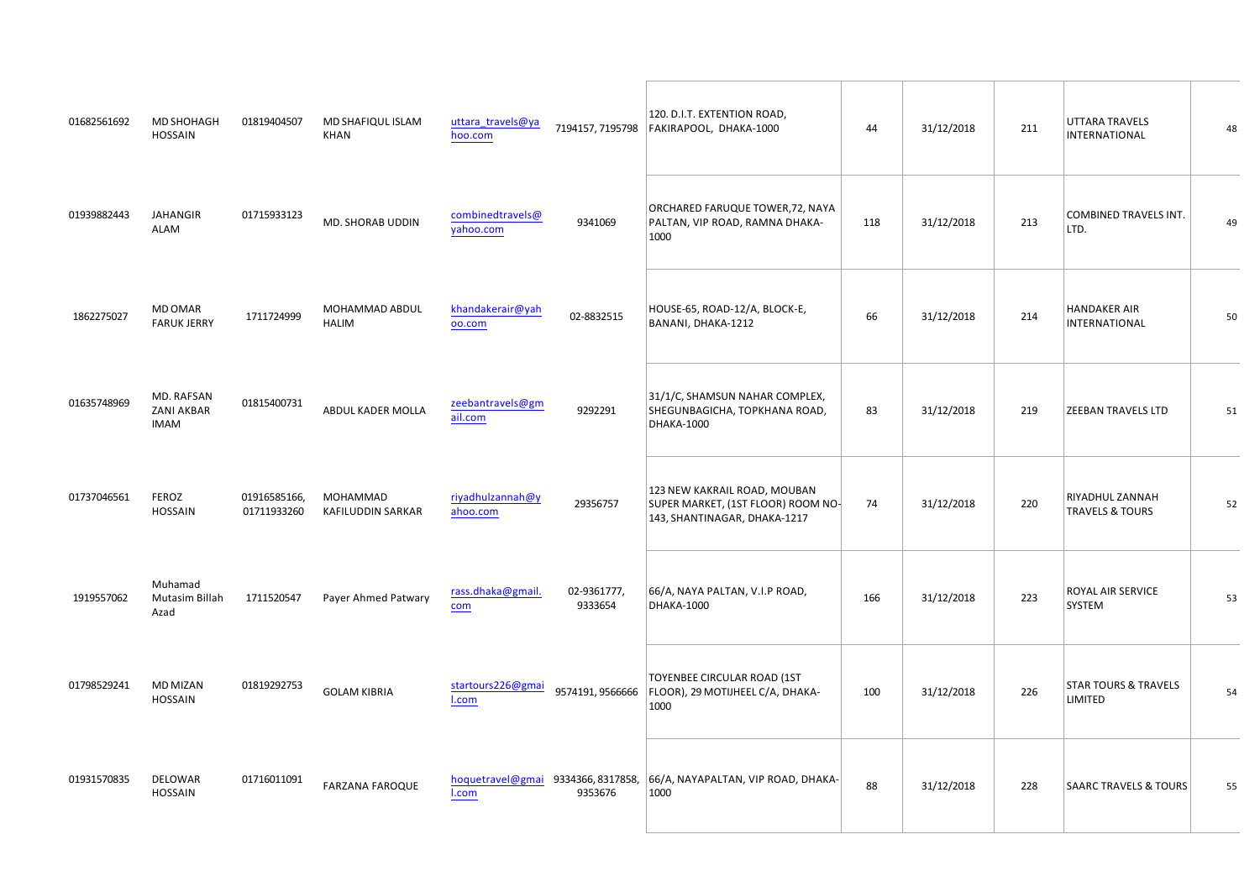| # $!$ # $\#$ %             |                                                                           | $\frac{1}{2}$ , $\frac{1}{2}$ , $\frac{1}{2}$ , $\frac{1}{2}$ , $\frac{1}{2}$ , $\frac{1}{2}$ , $\frac{1}{2}$ , $\frac{1}{2}$ , $\frac{1}{2}$ , $\frac{1}{2}$ , $\frac{1}{2}$ , $\frac{1}{2}$ , $\frac{1}{2}$ , $\frac{1}{2}$ , $\frac{1}{2}$ , $\frac{1}{2}$ , $\frac{1}{2}$ , $\frac{1}{2}$ , $\frac{1}{2}$ , $\frac{1}{2}$ ,<br>%<br>$\overline{\phantom{a}}$ |                                                                                                                                                                              | & & $x^*$ &<br>$\mathbf{0},\mathbf{0}$                                         |                |                                          |
|----------------------------|---------------------------------------------------------------------------|------------------------------------------------------------------------------------------------------------------------------------------------------------------------------------------------------------------------------------------------------------------------------------------------------------------------------------------------------------------|------------------------------------------------------------------------------------------------------------------------------------------------------------------------------|--------------------------------------------------------------------------------|----------------|------------------------------------------|
|                            | $\begin{array}{ccc} \texttt{""} & ( & , & \\ & \texttt{""} & \end{array}$ | $%$ &<br>$\mathsf{\$}$                                                                                                                                                                                                                                                                                                                                           | $"$ #                                                                                                                                                                        | $\big)$<br>$\%$                                                                |                | $%$ $\uparrow$<br>$\boldsymbol{\alpha}$  |
| $#$ !                      | % %                                                                       | $\frac{1}{10}$ % % \$                                                                                                                                                                                                                                                                                                                                            | $\pm 1$ .                                                                                                                                                                    | $\mathbb{S}$<br>#!<br>$\#$ $\#$<br>$\mathsf{s}$                                | $\mathbf{u}$ . | $\sim 1$                                 |
| #!"#                       | %&<br>\$<br>$\%$ $\%$                                                     | $\sim 10$<br>$\,$<br>%                                                                                                                                                                                                                                                                                                                                           |                                                                                                                                                                              | $\%$<br>$\%$ $\quad$ $^{\star}$<br>$\,$ , $\,$ $\,$ $\,$ $\,$ $\,$ $\,$ , $\,$ |                | $\cdot$ \$<br>$\sim 1$                   |
|                            | $"$ # ! #                                                                 | #!!## % %%<br>#                                                                                                                                                                                                                                                                                                                                                  | $!$ # $!$                                                                                                                                                                    | % $\frac{1}{\sqrt{2}}$ %<br>$\mathbf{u}$<br>$\%$<br>$\frac{1}{2}$<br>$\sim$    |                | $\mathcal{A}$<br>$\sim1^\circ$<br>$\sim$ |
|                            | %501213<br>$\frac{1!}{4}$ %5E1\$:28<br>813                                | $!$ $!$ $"$ $1D90+2931E@1:-$                                                                                                                                                                                                                                                                                                                                     | $\#$<br>$\#$ ! "                                                                                                                                                             | & &<br># #<br># #                                                              |                | $\sim 1$<br>$\%$                         |
| $\frac{1}{2}$ " % % '      |                                                                           | $\frac{1}{2}$ , % \$                                                                                                                                                                                                                                                                                                                                             | $\frac{8}{1}$   "   # # # #                                                                                                                                                  | $$\mathbb{S}$$<br>$\frac{1}{2}$ % (                                            | $\#$           | $\sim$<br>$\pm$ "<br>$\%$                |
| $\sim 1$ $\sim$ $\sim$ $1$ |                                                                           | $\frac{1}{2}$ $\frac{1}{2}$ $\frac{1}{2}$ $\frac{1}{2}$ $\frac{1}{2}$ $\frac{1}{2}$ $\frac{1}{2}$ $\frac{1}{2}$ $\frac{1}{2}$ $\frac{1}{2}$ $\frac{1}{2}$ $\frac{1}{2}$ $\frac{1}{2}$ $\frac{1}{2}$ $\frac{1}{2}$ $\frac{1}{2}$ $\frac{1}{2}$ $\frac{1}{2}$ $\frac{1}{2}$ $\frac{1}{2}$ $\frac{1}{2}$ $\frac{1}{2}$                                              | and the company of the com-<br>$\begin{array}{ccccc} \text{"} & \text{#} & \text{#} & \\ & \text{!} & \text{#} & \text{#} \\ & & \text{!} & \text{#} & \text{#} \end{array}$ | $\frac{1}{2}$ ##                                                               |                | $\pm 1$<br>$\omega_{\rm c}$              |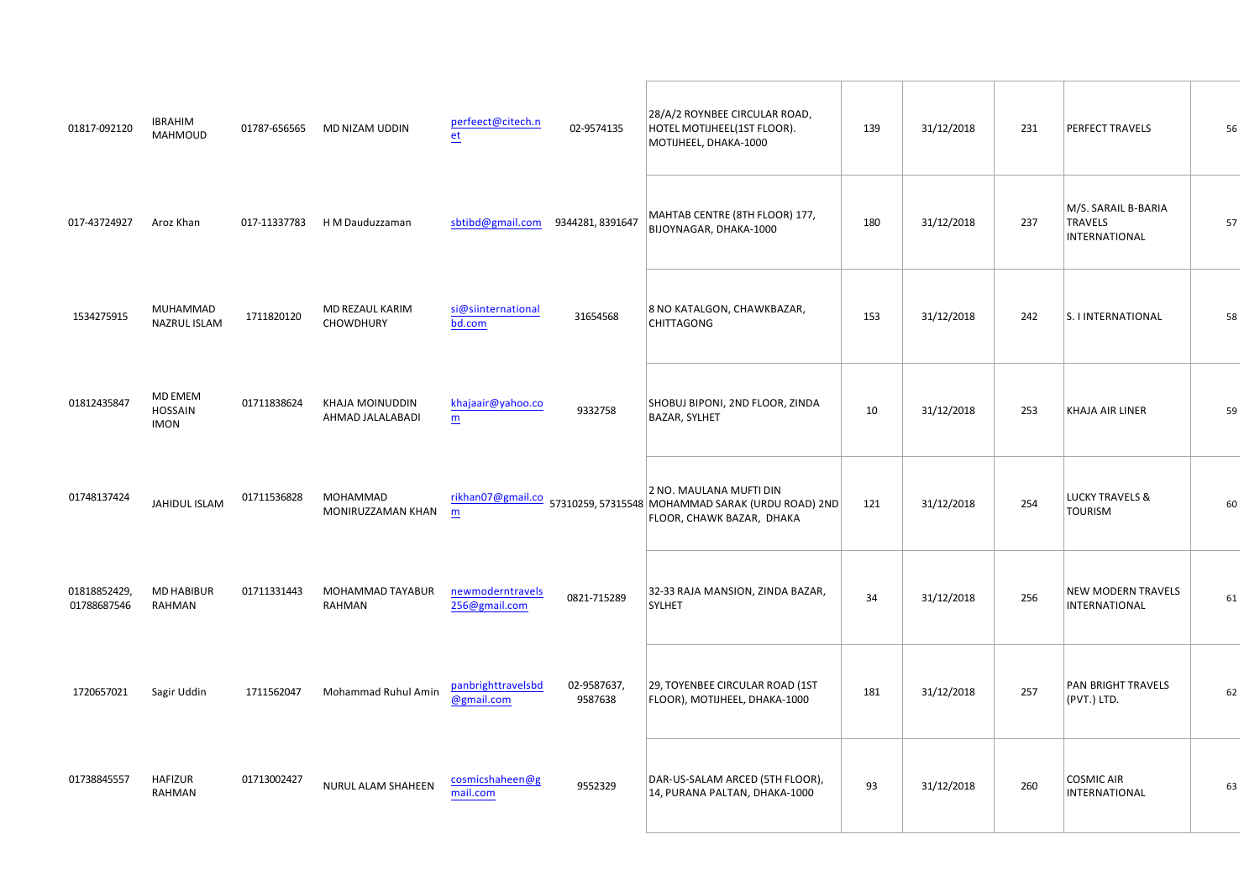|                            |   |                                                                                                                                                                                                                                                                                               |  |                                                                                                                                                                                                                                                                                                           |                 |                                      |                                                                                                                                                                                                                                                                                                                                                                                                                                                                                          | $\frac{1}{4}$ |
|----------------------------|---|-----------------------------------------------------------------------------------------------------------------------------------------------------------------------------------------------------------------------------------------------------------------------------------------------|--|-----------------------------------------------------------------------------------------------------------------------------------------------------------------------------------------------------------------------------------------------------------------------------------------------------------|-----------------|--------------------------------------|------------------------------------------------------------------------------------------------------------------------------------------------------------------------------------------------------------------------------------------------------------------------------------------------------------------------------------------------------------------------------------------------------------------------------------------------------------------------------------------|---------------|
|                            |   | "" =/801; % 153588121; "" #" $\begin{vmatrix} 96 & 5 \\ 5 & 15 & 15 \end{vmatrix}$                                                                                                                                                                                                            |  |                                                                                                                                                                                                                                                                                                           |                 |                                      | % & \$ \$                                                                                                                                                                                                                                                                                                                                                                                                                                                                                | $\frac{1}{2}$ |
|                            |   | $\frac{1}{1}$ $\frac{1}{1}$ $\frac{1}{1}$ % % % % % $\frac{1}{1}$ % $\frac{1}{1}$ # $\frac{1}{1}$ % $\frac{1}{1}$                                                                                                                                                                             |  |                                                                                                                                                                                                                                                                                                           | $\sim 1$ .      | $\mathbf{u} = \mathbf{u} \mathbf{u}$ |                                                                                                                                                                                                                                                                                                                                                                                                                                                                                          | $\sim 10$     |
| $\sim$ $^{-0}$ . I $^{-0}$ | % |                                                                                                                                                                                                                                                                                               |  | $\frac{96}{96}$ % $\frac{96}{96}$ # " (% $\frac{96}{96}$ $\frac{1}{100}$ $\frac{1}{30}$ $\frac{1}{30}$ $\frac{1}{30}$ $\frac{1}{30}$ $\frac{1}{30}$ $\frac{1}{30}$ $\frac{1}{30}$ $\frac{1}{30}$ $\frac{1}{30}$ $\frac{1}{30}$ $\frac{1}{30}$ $\frac{1}{30}$ $\frac{1}{30}$ $\frac{1}{30}$ $\frac{1}{30}$ |                 | $\sim 1$                             | $\sim$ $\sim$                                                                                                                                                                                                                                                                                                                                                                                                                                                                            | $\sim 1$      |
|                            |   |                                                                                                                                                                                                                                                                                               |  |                                                                                                                                                                                                                                                                                                           |                 | $\sim1$ $^{\circ}$                   | $\%$                                                                                                                                                                                                                                                                                                                                                                                                                                                                                     | #             |
|                            |   |                                                                                                                                                                                                                                                                                               |  | ( % )                                                                                                                                                                                                                                                                                                     | $\sim 10^{-10}$ | $\frac{1}{2}$                        | $\%$                                                                                                                                                                                                                                                                                                                                                                                                                                                                                     | #             |
|                            |   | #! 1 F: 3 3 : ; $\begin{array}{ccc} 1 \text{#} & \text{%}/012215058: & \text{?} \\ 1 \text{#} & \text{?} \end{array}$                                                                                                                                                                         |  | $\begin{matrix} \mathbb{S} \\ \% \end{matrix}$                                                                                                                                                                                                                                                            |                 |                                      | $\begin{array}{ccc} . & . & . & . \\ . & . & . & . \\ . & . & . & . \\ . & . & . & . \\ . & . & . & . \\ . & . & . & . \\ . & . & . & . \\ . & . & . & . \\ . & . & . & . \\ . & . & . & . \\ . & . & . & . \\ . & . & . & . \\ . & . & . & . \\ . & . & . & . \\ . & . & . & . \\ . & . & . & . \\ . & . & . & . \\ . & . & . & . \\ . & . & . & . \\ . & . & . & . \\ . & . & . & . \\ . & . & . & . \\ . & . & . & . \\ . & . & . & . \\ . & . & . & . \\ . & . & . & . \\ . & . & .$ | $\#$          |
| $"111"$                    | % | $\frac{1}{2}$ and $\frac{1}{2}$ and $\frac{1}{2}$ and $\frac{1}{2}$ and $\frac{1}{2}$ and $\frac{1}{2}$ and $\frac{1}{2}$ and $\frac{1}{2}$ and $\frac{1}{2}$ and $\frac{1}{2}$ and $\frac{1}{2}$ and $\frac{1}{2}$ and $\frac{1}{2}$ and $\frac{1}{2}$ and $\frac{1}{2}$ and $\frac{1}{2}$ a |  | $\%$ $\frac{1}{2}$                                                                                                                                                                                                                                                                                        |                 | #                                    | %                                                                                                                                                                                                                                                                                                                                                                                                                                                                                        | $\#$          |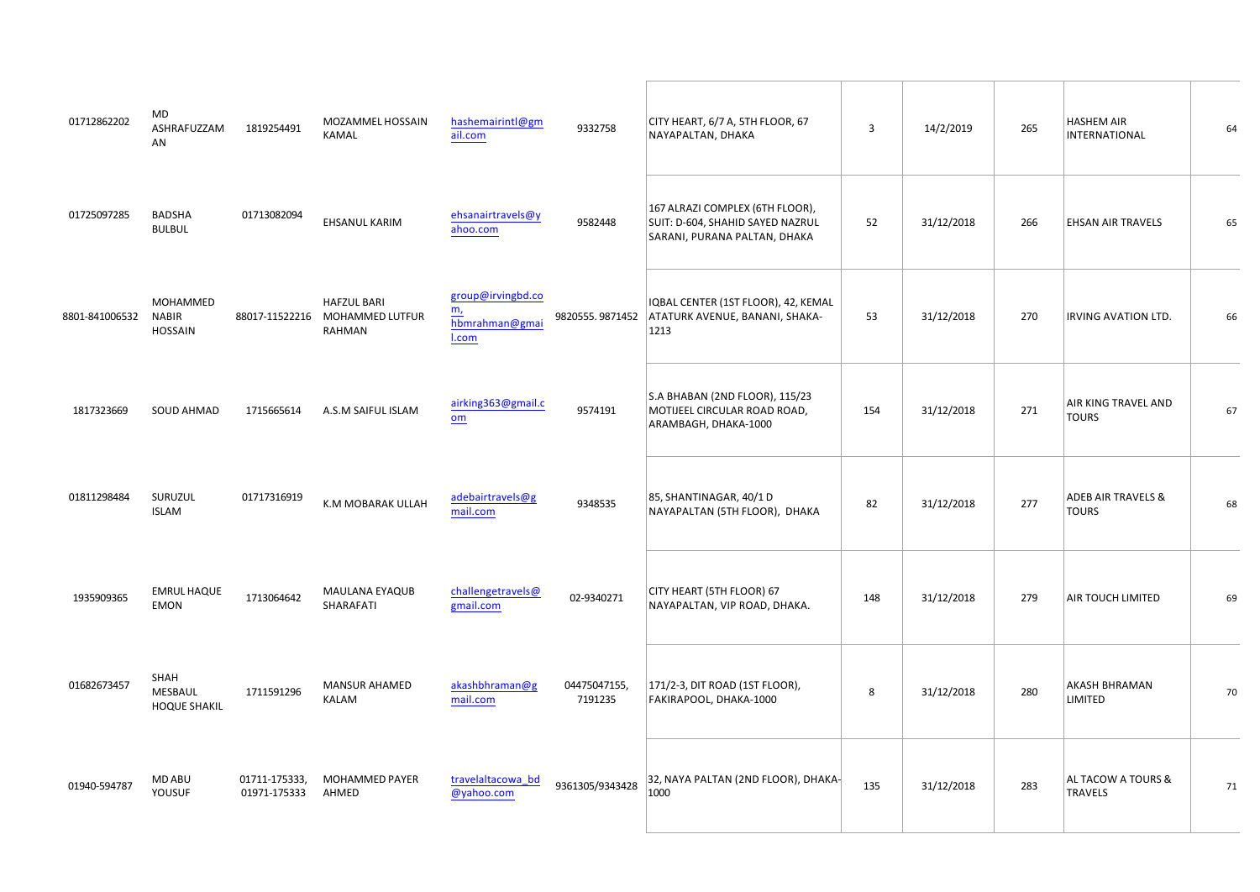| $\#$                                                                                                                                                                                                                                                                                                                                                                                                                                                          | %                       |                                                                                                                                                                                                                                                                                                                                                                                                                                                                                                       |                                                                                                                                                                                                                                                                                                                                                                    | $\frac{1}{\sqrt{2\pi}}\left(\frac{1}{\sqrt{2\pi}}\right)^{2}=\frac{1}{2\sqrt{2\pi}}\left(\frac{1}{\sqrt{2\pi}}\right)^{2}=\frac{1}{2\sqrt{2\pi}}\left(\frac{1}{\sqrt{2\pi}}\right)^{2}$ | $\frac{1}{2}$ $\frac{1}{2}$ $\frac{1}{2}$ $\frac{1}{2}$ $\frac{1}{2}$ $\frac{1}{2}$ $\frac{1}{2}$ $\frac{1}{2}$ $\frac{1}{2}$ $\frac{1}{2}$ $\frac{1}{2}$ $\frac{1}{2}$ $\frac{1}{2}$ $\frac{1}{2}$ $\frac{1}{2}$ $\frac{1}{2}$ $\frac{1}{2}$ $\frac{1}{2}$ $\frac{1}{2}$ $\frac{1}{2}$ $\frac{1}{2}$ $\frac{1}{2}$<br>#                                                                                                                                                                                   |                             | $\mathbf{u} = \mathbf{u}$ | #!  | $\%$                     | $\#"$   |
|---------------------------------------------------------------------------------------------------------------------------------------------------------------------------------------------------------------------------------------------------------------------------------------------------------------------------------------------------------------------------------------------------------------------------------------------------------------|-------------------------|-------------------------------------------------------------------------------------------------------------------------------------------------------------------------------------------------------------------------------------------------------------------------------------------------------------------------------------------------------------------------------------------------------------------------------------------------------------------------------------------------------|--------------------------------------------------------------------------------------------------------------------------------------------------------------------------------------------------------------------------------------------------------------------------------------------------------------------------------------------------------------------|-----------------------------------------------------------------------------------------------------------------------------------------------------------------------------------------|------------------------------------------------------------------------------------------------------------------------------------------------------------------------------------------------------------------------------------------------------------------------------------------------------------------------------------------------------------------------------------------------------------------------------------------------------------------------------------------------------------|-----------------------------|---------------------------|-----|--------------------------|---------|
|                                                                                                                                                                                                                                                                                                                                                                                                                                                               |                         | $\%$                                                                                                                                                                                                                                                                                                                                                                                                                                                                                                  |                                                                                                                                                                                                                                                                                                                                                                    | $10^{-10.0}$                                                                                                                                                                            | $\begin{array}{ccccccccc} \# & & & \circ & & \circ & & * & \# \\ & & \circ & \# & & & \\ & & \circ & \# & & & \end{array}$<br>$\sim 100$                                                                                                                                                                                                                                                                                                                                                                   | $\sim 1$ .                  |                           | # # |                          | $\#!$   |
|                                                                                                                                                                                                                                                                                                                                                                                                                                                               | " #! $\frac{96}{5}$ % % | $\begin{array}{ccccc}\n & & & \text{\{\$}} \\  & & \text{\{\# }} \text{\%} & & \text{\{\% }} \text{\%} \\  & & \text{\{\% }} & & \text{\{\% }} \text{\%} \\  & & & \text{\{\% }} & & \text{\{\% }} & \text{\(\% }} & \text{\(\% } & \text{\(\% } & \text{\(\% } & \text{\(\% } & \text{\(\% } & \text{\(\% } & \text{\(\% } & \text{\(\% } & \text{\(\% } & \text{\(\% } & \text{\(\% } & \text{\(\% } & \text{\(\% } & \text{\(\% } & \text{\(\% } & \text{\(\% } & \text{\(\% } & \text{\(\% } & \$ |                                                                                                                                                                                                                                                                                                                                                                    |                                                                                                                                                                                         | $)$ \$<br>$\mathbf{u}_\perp$<br>$\%$<br>$$\mathbb{S}$$                                                                                                                                                                                                                                                                                                                                                                                                                                                     | $\pm$                       |                           |     | &<br>$\sim 100$          | $\# \#$ |
| # $\#$                                                                                                                                                                                                                                                                                                                                                                                                                                                        | $\%$                    | $!$ # # ! # $\,$ "<br>$\%$<br>& & %                                                                                                                                                                                                                                                                                                                                                                                                                                                                   | $\frac{8}{2}$                                                                                                                                                                                                                                                                                                                                                      | $\sim 100$                                                                                                                                                                              | $\begin{array}{c} 8 \  \, \$\quad \  \, \$\quad \  \  \, \\\% \qquad \quad \  (\space -10pt) \qquad \quad \  (\space -10pt) \qquad \quad \  \  \, \raisebox{-12pt}{$\scriptstyle \sim$} \qquad \  \  (\space -10pt) \qquad \quad \  \  \, \raisebox{-12pt}{$\scriptstyle \sim$} \qquad \  \  \, \raisebox{-12pt}{$\scriptstyle \sim$} \qquad \  \  \, \raisebox{-12pt}{$\scriptstyle \sim$} \qquad \  \  \, \raisebox{-12pt}{$\scriptstyle \sim$} \qquad \  \  \, \raisebox{-12pt}{$\script$<br>$\sim 1$ . | $\mathbf{1}^{\mathrm{m}}$ . |                           |     | $\mathcal{A}$            | $\#$    |
|                                                                                                                                                                                                                                                                                                                                                                                                                                                               | $\%$                    | $\#$<br>& % \$                                                                                                                                                                                                                                                                                                                                                                                                                                                                                        |                                                                                                                                                                                                                                                                                                                                                                    | $\mathcal{P} \neq \mathcal{P}$                                                                                                                                                          | $\frac{1}{2} \left( \frac{1}{2} \right) \left( \frac{1}{2} \right) \left( \frac{1}{2} \right) \left( \frac{1}{2} \right)$                                                                                                                                                                                                                                                                                                                                                                                  |                             |                           |     | $\mathfrak{P}$<br>$\sim$ | $\#$    |
| $\frac{1}{2}$ #1                                                                                                                                                                                                                                                                                                                                                                                                                                              | %)<br>%                 | $)$ \$<br>#"#" $\frac{9}{6}$                                                                                                                                                                                                                                                                                                                                                                                                                                                                          |                                                                                                                                                                                                                                                                                                                                                                    | $\mathbf{u}$ .                                                                                                                                                                          | $\pmb{8}$                                                                                                                                                                                                                                                                                                                                                                                                                                                                                                  | $\mathbf{u}$ .              |                           |     | $\%$                     | $\#$    |
| $\begin{array}{ccccc}\n\text{\#} & \text{\#} & \text{\#} & \text{\#} & \text{\#} & \text{\#} & \text{\#} & \text{\#} & \text{\#} & \text{\#} & \text{\#} & \text{\#} & \text{\#} & \text{\#} & \text{\#} & \text{\#} & \text{\#} & \text{\#} & \text{\#} & \text{\#} & \text{\#} & \text{\#} & \text{\#} & \text{\#} & \text{\#} & \text{\#} & \text{\#} & \text{\#} & \text{\#} & \text{\#} & \text{\#} & \text{\#} & \text{\#} & \text{\#} & \text{\#} & \$ |                         | $\%$<br>$1$ # $\frac{\%}{\%}$ %                                                                                                                                                                                                                                                                                                                                                                                                                                                                       |                                                                                                                                                                                                                                                                                                                                                                    | $\begin{array}{c} \texttt{min} & \texttt{min} \\ \texttt{max} & \texttt{max} \\ \texttt{max} & \texttt{max} \end{array}$                                                                |                                                                                                                                                                                                                                                                                                                                                                                                                                                                                                            |                             |                           |     | $\frac{6}{9}$ %<br>$\%$  |         |
| $\mathcal{P}=\mathcal{P}^{\mathcal{P}}$                                                                                                                                                                                                                                                                                                                                                                                                                       | % $\frac{6}{3}$         | $\frac{1}{1}$ % % %<br>$\frac{9}{6}$                                                                                                                                                                                                                                                                                                                                                                                                                                                                  | $\begin{picture}(150,10) \put(0,0){\vector(1,0){100}} \put(15,0){\vector(1,0){100}} \put(15,0){\vector(1,0){100}} \put(15,0){\vector(1,0){100}} \put(15,0){\vector(1,0){100}} \put(15,0){\vector(1,0){100}} \put(15,0){\vector(1,0){100}} \put(15,0){\vector(1,0){100}} \put(15,0){\vector(1,0){100}} \put(15,0){\vector(1,0){100}} \put(15,0){\vector(1,0){100}}$ |                                                                                                                                                                                         |                                                                                                                                                                                                                                                                                                                                                                                                                                                                                                            | $\pm$                       |                           |     | $\sim$                   |         |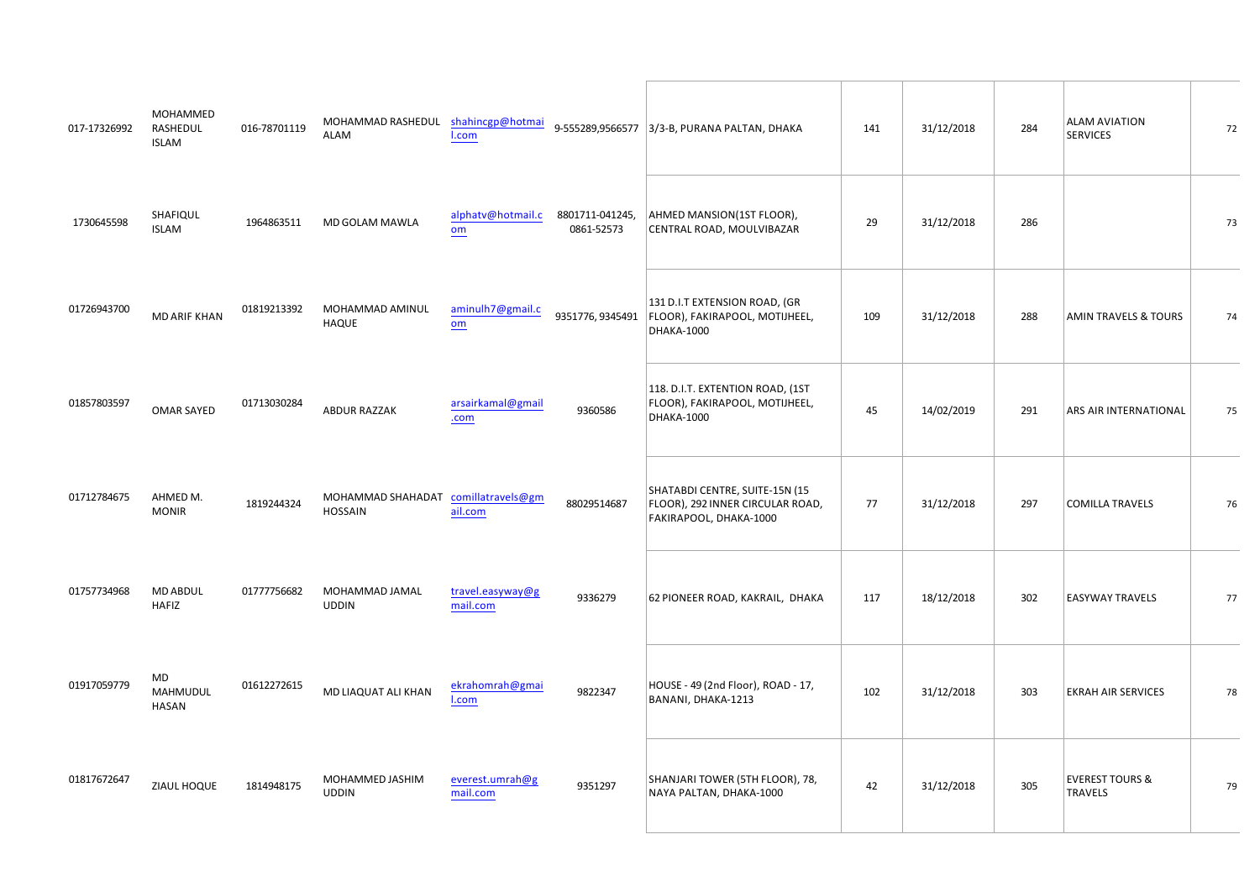| $\#$                                    | % %%<br>, %%<br># % %<br>% |                                                                                                                                                                                                                                                                                                            | $\frac{1}{\sqrt{1-\frac{1}{2}}\sqrt{1-\frac{1}{2}}\sqrt{1-\frac{1}{2}}\sqrt{1-\frac{1}{2}}\sqrt{1-\frac{1}{2}}\sqrt{1-\frac{1}{2}}\sqrt{1-\frac{1}{2}}\sqrt{1-\frac{1}{2}}\sqrt{1-\frac{1}{2}}\sqrt{1-\frac{1}{2}}\sqrt{1-\frac{1}{2}}\sqrt{1-\frac{1}{2}}\sqrt{1-\frac{1}{2}}\sqrt{1-\frac{1}{2}}\sqrt{1-\frac{1}{2}}\sqrt{1-\frac{1}{2}}\sqrt{1-\frac{1}{2}}\sqrt{1-\frac{1}{2}}\sqrt{1-\frac{1}{2}}\sqrt{1-\frac$                 |              | $\sqrt[6]{\frac{1}{2}}$                                                                                                                                                                                                                                                                                                                                                                                                                 | $\sim 100$ |            | $\mathbf{u}$ . | $\%$                          |              |
|-----------------------------------------|----------------------------|------------------------------------------------------------------------------------------------------------------------------------------------------------------------------------------------------------------------------------------------------------------------------------------------------------|--------------------------------------------------------------------------------------------------------------------------------------------------------------------------------------------------------------------------------------------------------------------------------------------------------------------------------------------------------------------------------------------------------------------------------------|--------------|-----------------------------------------------------------------------------------------------------------------------------------------------------------------------------------------------------------------------------------------------------------------------------------------------------------------------------------------------------------------------------------------------------------------------------------------|------------|------------|----------------|-------------------------------|--------------|
| $#$ "!!                                 | )<br>%                     | $\#$ " $\#$ ! %, %%                                                                                                                                                                                                                                                                                        |                                                                                                                                                                                                                                                                                                                                                                                                                                      |              | $\mathsf{S}^{-1}$                                                                                                                                                                                                                                                                                                                                                                                                                       |            |            | #              |                               |              |
| $\#$ . $"$                              | %                          | $\frac{\%}{\%}$ % % %                                                                                                                                                                                                                                                                                      |                                                                                                                                                                                                                                                                                                                                                                                                                                      |              | & $8^*$ , (                                                                                                                                                                                                                                                                                                                                                                                                                             |            |            |                | %<br>$\overline{\phantom{a}}$ |              |
| $\langle 1 \rangle = \langle 1 \rangle$ |                            | $\frac{1}{2}$ % $\frac{1}{2}$ \$ $\frac{1}{2}$ + $\frac{1}{2}$ + $\frac{1}{2}$ + $\frac{1}{2}$ + $\frac{1}{2}$ + $\frac{1}{2}$ + $\frac{1}{2}$ + $\frac{1}{2}$ + $\frac{1}{2}$ + $\frac{1}{2}$ + $\frac{1}{2}$ + $\frac{1}{2}$ + $\frac{1}{2}$ + $\frac{1}{2}$ + $\frac{1}{2}$ + $\frac{1}{2}$ + $\frac{1$ |                                                                                                                                                                                                                                                                                                                                                                                                                                      |              |                                                                                                                                                                                                                                                                                                                                                                                                                                         | $\sim 100$ | $\sim 100$ |                |                               | $\mathbf{I}$ |
|                                         | $"$ # ! % % &<br>$\%$      | % %%                                                                                                                                                                                                                                                                                                       | $\begin{array}{ccccccccccccc} \textbf{1} & \textbf{1} & \textbf{1} & \textbf{1} & \textbf{1} & \textbf{1} & \textbf{1} & \textbf{1} & \textbf{1} & \textbf{1} & \textbf{1} & \textbf{1} & \textbf{1} & \textbf{1} & \textbf{1} & \textbf{1} & \textbf{1} & \textbf{1} & \textbf{1} & \textbf{1} & \textbf{1} & \textbf{1} & \textbf{1} & \textbf{1} & \textbf{1} & \textbf{1} & \textbf{1} & \textbf{1} & \textbf{1} & \textbf{1} &$ |              | $\begin{array}{cccccccc}\n\text{\$} & & & & & \text{\[1] } & \text{\[1] } & \text{\[1] } & \text{\[1] } & \text{\[1] } & \text{\[1] } & \text{\[1] } & \text{\[1] } & \text{\[1] } & \text{\[1] } & \text{\[1] } & \text{\[1] } & \text{\[1] } & \text{\[1] } & \text{\[1] } & \text{\[1] } & \text{\[1] } & \text{\[1] } & \text{\[1] } & \text{\[1] } & \text{\[1] } & \text{\[1] } & \text{\[1] } & \text{\[1] } & \text{\[1] } & \$ |            |            |                | $\%$                          | #            |
| $!$ " # % \$                            |                            | $!$ # # % % % (%                                                                                                                                                                                                                                                                                           |                                                                                                                                                                                                                                                                                                                                                                                                                                      | $\#$         | #                                                                                                                                                                                                                                                                                                                                                                                                                                       |            |            |                |                               |              |
| $\frac{\%}{\%}$ %                       |                            | # # $\frac{1}{2}$ % )                                                                                                                                                                                                                                                                                      |                                                                                                                                                                                                                                                                                                                                                                                                                                      | $\mathbf{u}$ | $\int$ " ; 3 6 / / =                                                                                                                                                                                                                                                                                                                                                                                                                    |            |            |                |                               |              |
|                                         |                            |                                                                                                                                                                                                                                                                                                            |                                                                                                                                                                                                                                                                                                                                                                                                                                      |              |                                                                                                                                                                                                                                                                                                                                                                                                                                         | $\sim 100$ |            | $\sim 10^{-1}$ | $\sim 1000$                   |              |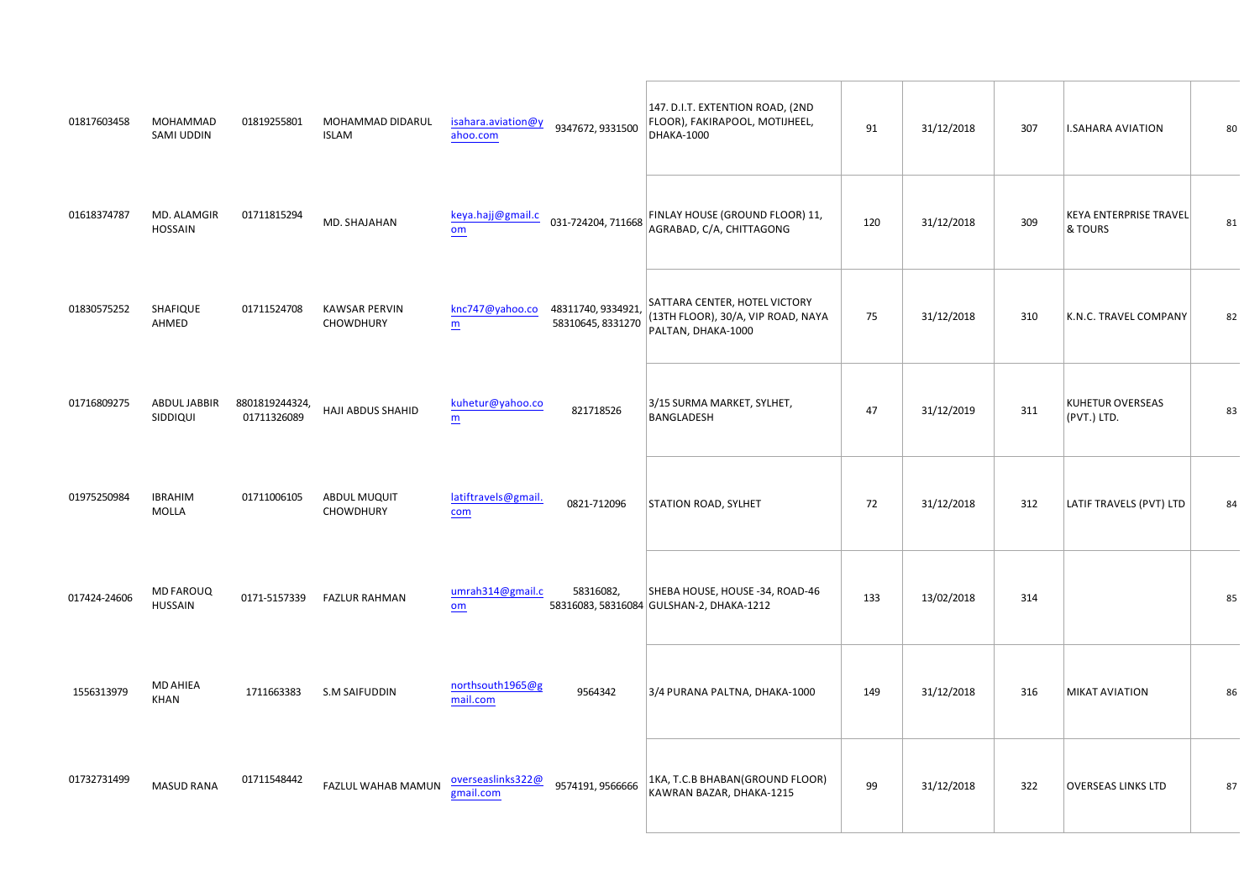| # "! % %%    % %%<br>% % % %                                                                                                                                                                                                                                                                                                                                                                                                                                     |           | $\begin{array}{ccccccccccccc} \textbf{1} & \textbf{2} & \textbf{3} & \textbf{4} & \textbf{5} & \textbf{1} & \textbf{1} & \textbf{1} & \textbf{1} & \textbf{1} & \textbf{1} & \textbf{1} & \textbf{1} & \textbf{1} & \textbf{1} & \textbf{1} & \textbf{1} & \textbf{1} & \textbf{1} & \textbf{1} & \textbf{1} & \textbf{1} & \textbf{1} & \textbf{1} & \textbf{1} & \textbf{1} & \textbf{1} & \textbf{1} & \textbf{1} & \textbf{1} &$ |                                                                                                                              |              |              | $\pmb{8}$     |                          |
|------------------------------------------------------------------------------------------------------------------------------------------------------------------------------------------------------------------------------------------------------------------------------------------------------------------------------------------------------------------------------------------------------------------------------------------------------------------|-----------|--------------------------------------------------------------------------------------------------------------------------------------------------------------------------------------------------------------------------------------------------------------------------------------------------------------------------------------------------------------------------------------------------------------------------------------|------------------------------------------------------------------------------------------------------------------------------|--------------|--------------|---------------|--------------------------|
| # " % & %, $\qquad$ ! " % & (                                                                                                                                                                                                                                                                                                                                                                                                                                    |           | $\begin{array}{c ccccccccc} \hline \quad & \quad & & \quad & & \cdots & \# \# & & \cr \hline \quad & \quad & & \quad & & \quad & \uparrow & \# \# & & \quad & \mathbb{S} & & \cdots & \cdots & \cdots \end{array},$                                                                                                                                                                                                                  |                                                                                                                              |              |              |               |                          |
|                                                                                                                                                                                                                                                                                                                                                                                                                                                                  |           | $\frac{1}{2}$ (1 a $\frac{1}{2}$ ) $\frac{1}{2}$ a $\frac{1}{2}$ $\frac{1}{2}$ $\frac{1}{2}$ $\frac{1}{2}$ $\frac{1}{2}$ $\frac{1}{2}$ $\frac{1}{2}$ $\frac{1}{2}$ $\frac{1}{2}$ $\frac{1}{2}$ $\frac{1}{2}$ $\frac{1}{2}$ $\frac{1}{2}$ $\frac{1}{2}$ $\frac{1}{2}$ $\frac{1}{2}$ $\frac{1}{2}$ $\frac{1}{2}$ $\$                                                                                                                   |                                                                                                                              | $\pm$        |              | & & &<br>%    |                          |
| $\begin{array}{ccccccccccc}\n\text{\#} & & & 1 & & \text{\$} & & ( & \text{\$} & \text{\$} & & & & \text{\$} & & & & \text{\$} & & & & \text{\$} & & & \text{\$} & & & \text{\$} & & & \text{\$} & & & \text{\$} & & & \text{\$} & & & \text{\$} & & & \text{\$} & & & \text{\$} & & & \text{\$} & & & \text{\$} & & & \text{\$} & & & \text{\$} & & & \text{\$} & & & \text{\$} & & & \text{\$} & & & \text{\$} & & & \text{\$} & & & \text{\$} & & & \text{\$$ |           | $\frac{1}{2}$ $\frac{1}{2}$ $\frac{1}{2}$ $\frac{96}{3}$ %                                                                                                                                                                                                                                                                                                                                                                           |                                                                                                                              | $\mathbf{u}$ |              | & &           |                          |
| $\begin{array}{ccccccccccc}\n & 1 & & 1 & & 5 & & 96 \\  & & 96 & & & & & \end{array}$                                                                                                                                                                                                                                                                                                                                                                           |           | $\#$                                                                                                                                                                                                                                                                                                                                                                                                                                 |                                                                                                                              |              |              |               |                          |
|                                                                                                                                                                                                                                                                                                                                                                                                                                                                  |           |                                                                                                                                                                                                                                                                                                                                                                                                                                      | $\hspace{0.1cm}$ " $\hspace{0.1cm}$ " $\hspace{0.1cm}$ " $\hspace{0.1cm}$ "<br>$\begin{array}{c} \circ \\ \circ \end{array}$ |              | $\mathbf{u}$ |               | $\overline{\phantom{a}}$ |
| $\%$<br>$!$ !!#                                                                                                                                                                                                                                                                                                                                                                                                                                                  | ##<br>& % | $\frac{1}{2}$ $\frac{1}{2}$ $\frac{1}{2}$ $\frac{1}{2}$ $\frac{1}{2}$ $\frac{1}{2}$ $\frac{1}{2}$ $\frac{1}{2}$ $\frac{1}{2}$ $\frac{1}{2}$ $\frac{1}{2}$ $\frac{1}{2}$ $\frac{1}{2}$ $\frac{1}{2}$ $\frac{1}{2}$ $\frac{1}{2}$ $\frac{1}{2}$ $\frac{1}{2}$ $\frac{1}{2}$ $\frac{1}{2}$ $\frac{1}{2}$ $\frac{1}{2}$                                                                                                                  | $\sim 10$                                                                                                                    | $\sim 100$   | $\#$         | $\frac{9}{6}$ | #                        |
| $\sim$ 0 $^{\circ}$<br>$\%$                                                                                                                                                                                                                                                                                                                                                                                                                                      |           |                                                                                                                                                                                                                                                                                                                                                                                                                                      |                                                                                                                              |              |              |               |                          |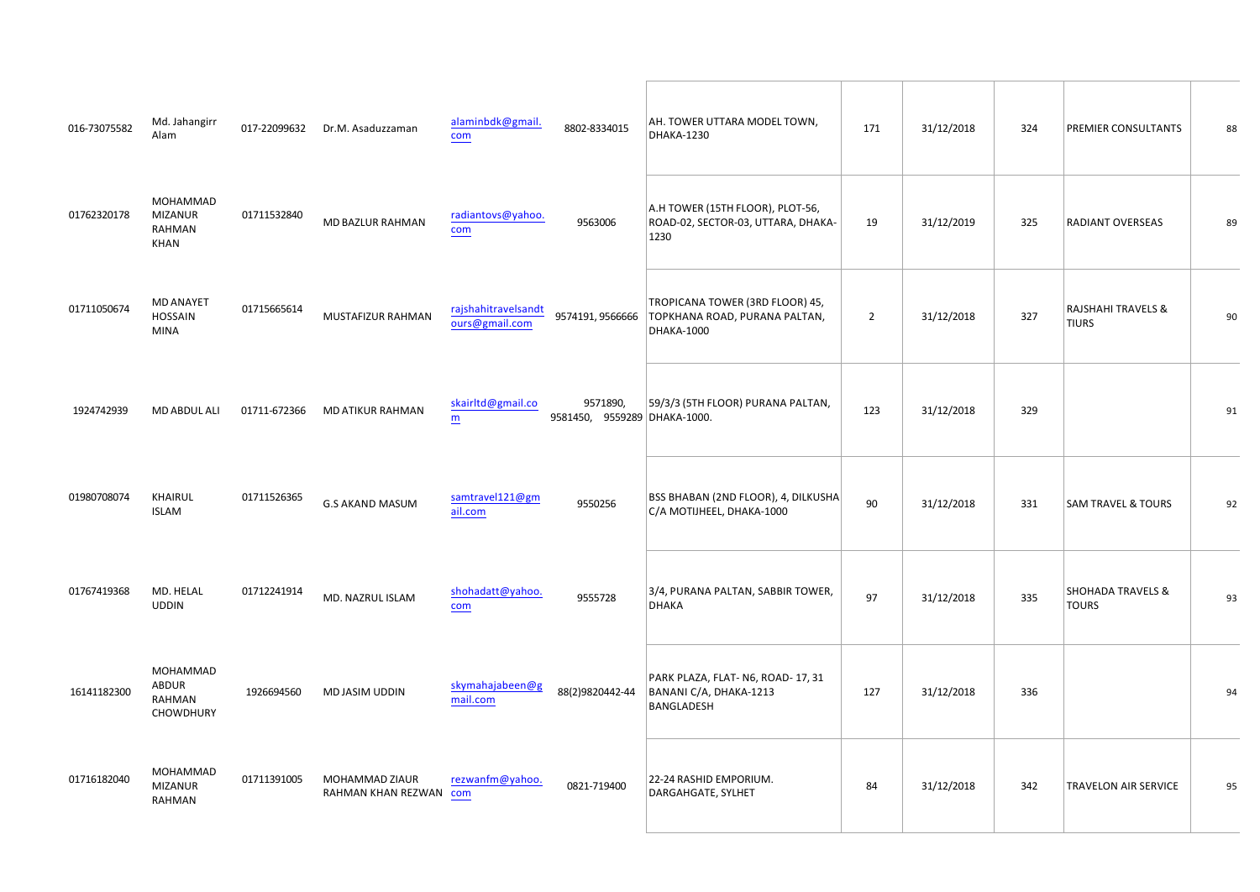| $\#$                          | !! % 3 (&1 0 1 ; F<br>6 1 2 | $\#$ = & %7&1 3 5 8 8 1 2 1 -<br>$\mathcal{P}=\mathcal{P}$                                                                                                                                                                                                                                                                                                                                                                                                                                                                                                                                                                                                                  | $\%$<br>&                                                                                                                                                 |          | $\mathbf{H}$ . | $\%$                   |                |
|-------------------------------|-----------------------------|-----------------------------------------------------------------------------------------------------------------------------------------------------------------------------------------------------------------------------------------------------------------------------------------------------------------------------------------------------------------------------------------------------------------------------------------------------------------------------------------------------------------------------------------------------------------------------------------------------------------------------------------------------------------------------|-----------------------------------------------------------------------------------------------------------------------------------------------------------|----------|----------------|------------------------|----------------|
| $\#$                          | % %%<br>$\%$<br>%           | $\frac{1}{2}$ " % \$ '<br>$!$ # $\qquad$ #<br>$\%$                                                                                                                                                                                                                                                                                                                                                                                                                                                                                                                                                                                                                          | $\boldsymbol{8}$<br>$\sim 1$<br>!#                                                                                                                        |          | $\mathbf{I}$   |                        |                |
| $\frac{1}{2}$ # $\frac{1}{2}$ | $\%$<br>$\%$                | $!$ # # ! # $"$ %<br>$\frac{1}{2}$ $\frac{1}{2}$ $\frac{1}{2}$ $\frac{1}{2}$ $\frac{1}{2}$ $\frac{1}{2}$ $\frac{1}{2}$ $\frac{1}{2}$ $\frac{1}{2}$ $\frac{1}{2}$ $\frac{1}{2}$ $\frac{1}{2}$ $\frac{1}{2}$ $\frac{1}{2}$ $\frac{1}{2}$ $\frac{1}{2}$ $\frac{1}{2}$ $\frac{1}{2}$ $\frac{1}{2}$ $\frac{1}{2}$ $\frac{1}{2}$ $\frac{1}{2}$<br>$\frac{1}{2}$ $\frac{1}{2}$ $\frac{1}{2}$ $\frac{1}{2}$ $\frac{1}{2}$ $\frac{1}{2}$ $\frac{1}{2}$ $\frac{1}{2}$ $\frac{1}{2}$ $\frac{1}{2}$ $\frac{1}{2}$ $\frac{1}{2}$ $\frac{1}{2}$ $\frac{1}{2}$ $\frac{1}{2}$ $\frac{1}{2}$ $\frac{1}{2}$ $\frac{1}{2}$ $\frac{1}{2}$ $\frac{1}{2}$ $\frac{1}{2}$ $\frac{1}{2}$             | $\ ^{n}$ $\pm$                                                                                                                                            |          |                | $\left($<br>$\sim 100$ |                |
| $\mathbf{0}=\mathbf{0}$       | $%$ \$                      | $\mathbf{I}$<br>$\%$<br>$\frac{\partial}{\partial x^2} = \frac{\partial}{\partial x^2} + \frac{\partial}{\partial y^2} + \frac{\partial}{\partial z^2} + \frac{\partial}{\partial z^2} + \frac{\partial}{\partial z^2} + \frac{\partial}{\partial z^2} + \frac{\partial}{\partial z^2} + \frac{\partial}{\partial z^2} + \frac{\partial}{\partial z^2} + \frac{\partial}{\partial z^2} + \frac{\partial}{\partial z^2} + \frac{\partial}{\partial z^2} + \frac{\partial}{\partial z^2} + \frac{\partial}{\partial z^2} + \frac{\partial}{\partial z^2} + \frac{\partial}{\partial z^2} + \frac{\partial}{\partial z^2} + \frac{\partial$<br># $\#$ # %<br>$\pm$ 1.000 $\pm$ | $\mathbf{I}$<br>$\sim$ 1.<br>&                                                                                                                            |          |                |                        |                |
| $\mathbf{u}$                  | $\%$                        | $!$ # # ! $\,$ , &<br>% %<br>$\frac{11}{14}$                                                                                                                                                                                                                                                                                                                                                                                                                                                                                                                                                                                                                                | $\mathbf{u}$<br>$\begin{array}{ccccc}\n\text{\$} & \text{\$} & \text{\$} & \text{\$} \\ \text{\$} & \text{\$} & \text{\$\%} & (\text{\$\)} \n\end{array}$ |          |                | $\%$<br>$\blacksquare$ |                |
| $#$ "<br>$\#$                 | $%$ &                       | $\frac{1}{2}$ $\frac{1}{2}$ $\frac{1}{2}$ $\frac{1}{2}$ $\frac{1}{2}$ $\frac{1}{2}$ $\frac{1}{2}$ $\frac{1}{2}$ $\frac{1}{2}$ $\frac{1}{2}$ $\frac{1}{2}$ $\frac{1}{2}$ $\frac{1}{2}$ $\frac{1}{2}$ $\frac{1}{2}$ $\frac{1}{2}$ $\frac{1}{2}$ $\frac{1}{2}$ $\frac{1}{2}$ $\frac{1}{2}$ $\frac{1}{2}$ $\frac{1}{2}$<br>$\pm 11$<br>$\%$                                                                                                                                                                                                                                                                                                                                     | $\mathbf{H}$<br>$\sqrt[6]{3}$                                                                                                                             |          | $\mathbf{I}$   | $\sim$ $-$             |                |
| $\#$ "                        | % %%<br>\$<br>%             | $\mathbf{0},\mathbf{0}$ .<br>## "!# % ( %                                                                                                                                                                                                                                                                                                                                                                                                                                                                                                                                                                                                                                   | $\sim 10$<br>$\#$<br>"  \$<br>$\mathbb{S}$ ,                                                                                                              |          | $\#$           |                        | $\mathbf{u}$   |
| $\#$                          | % %%<br>% '<br>$\%$         | $\frac{1}{\%}$ % % $\frac{9}{6}$<br>$\mathbf{u}$ .<br>$\sim$                                                                                                                                                                                                                                                                                                                                                                                                                                                                                                                                                                                                                | $\mathbf{m}_\perp$<br>$\%$<br>$\%$ &<br>$\mathcal{A}^{\mathcal{A}}$ , $\mathcal{A}^{\mathcal{A}}$                                                         | $\sim 0$ | $\sim 0$       |                        | $\blacksquare$ |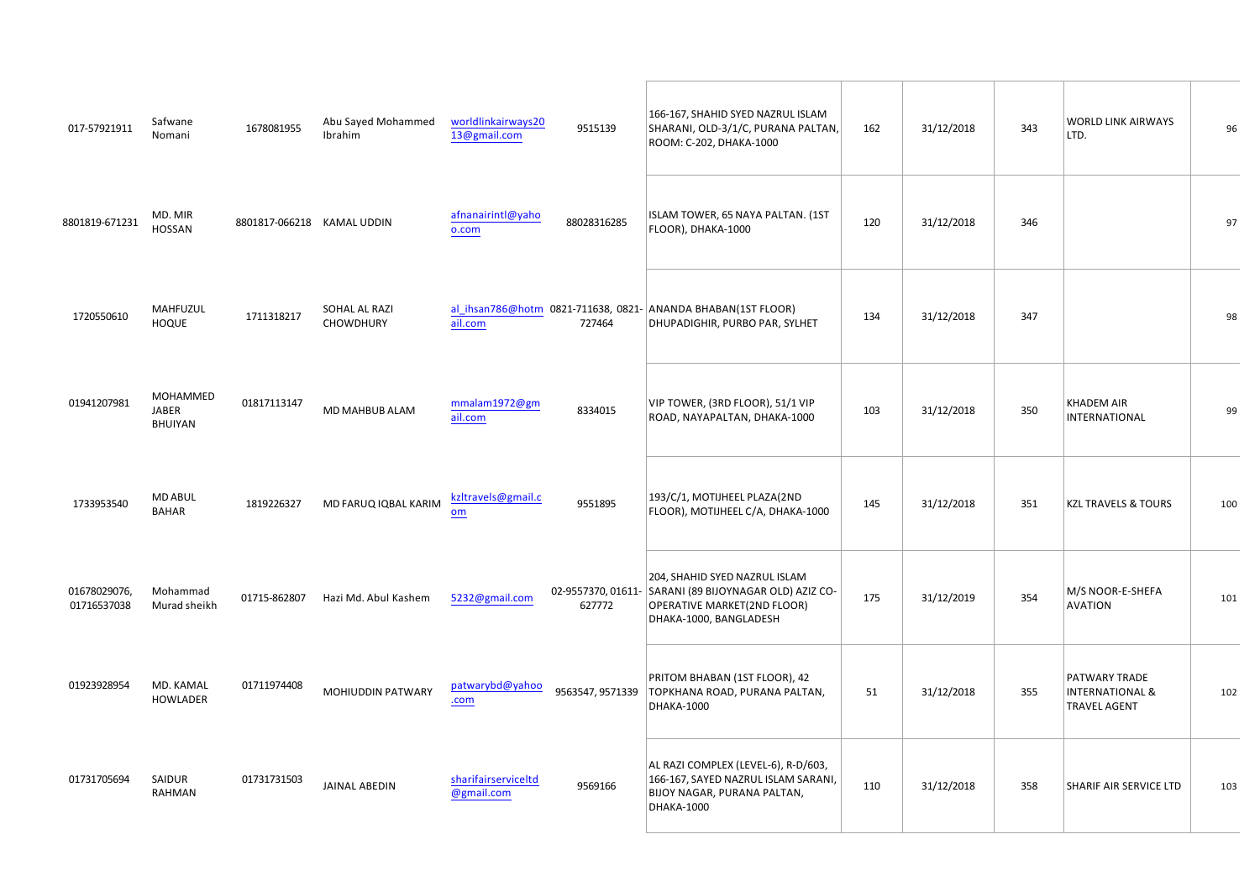| $\sim 1$ .     | 1 < @ 1 ; 9<br>/ 2 1 ; :                     |     |                                                                                                                                                                                                                                                                                                                                                               |                                                        | $\# \#$ $\#$ $\qquad$ $\qquad$ $\%$<br>%?                                                                                                                                                                                                                                                                                                                                                                                                                                                                                                                     | #                   | $\sim 0$                      | 8 <sup>8</sup>                                              | $\#$ |
|----------------|----------------------------------------------|-----|---------------------------------------------------------------------------------------------------------------------------------------------------------------------------------------------------------------------------------------------------------------------------------------------------------------------------------------------------------------|--------------------------------------------------------|---------------------------------------------------------------------------------------------------------------------------------------------------------------------------------------------------------------------------------------------------------------------------------------------------------------------------------------------------------------------------------------------------------------------------------------------------------------------------------------------------------------------------------------------------------------|---------------------|-------------------------------|-------------------------------------------------------------|------|
| $\#$           | % &%                                         | # # | $\%$                                                                                                                                                                                                                                                                                                                                                          | $#$ !                                                  | %<br>#!<br>&                                                                                                                                                                                                                                                                                                                                                                                                                                                                                                                                                  |                     | " $#$                         |                                                             |      |
| $\frac{1!}{4}$ | $\frac{\%}{\%}$                              |     | and the state of the state of the<br>$\frac{8}{1}$                                                                                                                                                                                                                                                                                                            | #<br>"#"                                               | $\begin{array}{ccccc}\n\mathbb{S} & \mathbb{S} & & \\ \mathbb{S} & & \mathbb{S} & \\ \end{array}$                                                                                                                                                                                                                                                                                                                                                                                                                                                             | $\mathbf{u}$        | $\mathbf{u}$                  |                                                             |      |
| $\mathbf{u}$   | % %%<br>$\begin{array}{c} 6 \ 8 \end{array}$ |     |                                                                                                                                                                                                                                                                                                                                                               | $\mathbb{R}^n \times \mathbb{R}^n \times \mathbb{R}^n$ | $\pm$                                                                                                                                                                                                                                                                                                                                                                                                                                                                                                                                                         |                     | $\pm$                         | $\%$                                                        |      |
| $11"$ % \$     |                                              |     | $#$ % ) $)$ \$<br>$\%$ $\qquad \qquad$ $\qquad$ $\qquad$ $\qquad$ $\qquad$ $\qquad$ $\qquad$ $\qquad$ $\qquad$ $\qquad$ $\qquad$ $\qquad$ $\qquad$ $\qquad$ $\qquad$ $\qquad$ $\qquad$ $\qquad$ $\qquad$ $\qquad$ $\qquad$ $\qquad$ $\qquad$ $\qquad$ $\qquad$ $\qquad$ $\qquad$ $\qquad$ $\qquad$ $\qquad$ $\qquad$ $\qquad$ $\qquad$ $\qquad$ $\qquad$ $\q$ |                                                        | % ( '<br>% (                                                                                                                                                                                                                                                                                                                                                                                                                                                                                                                                                  | $\sim 1$            | $\mathbf{1}$ and $\mathbf{1}$ | $\mathcal{A}(\mathcal{A})$ , and $\mathcal{A}(\mathcal{A})$ |      |
| #              | # %/01221:<br>#! $% 5 = T \cdot 9$ :         |     | $\frac{1}{2}$ # 18% 3 & 4 5 61 7 0 9 2 $\frac{1}{2}$ $\frac{1}{4}$                                                                                                                                                                                                                                                                                            | #<br>$\#$                                              | and the control of the<br>%<br>$\begin{array}{cc} \text{\$} & ( & \text{\,} \\ \text{\,} & \text{\,} \\ \text{\,} & \text{\,} \\ \text{\,} & \text{\,} \\ \text{\,} & \text{\,} \\ \text{\,} & \text{\,} \\ \text{\,} & \text{\,} \\ \text{\,} & \text{\,} \\ \text{\,} & \text{\,} \\ \text{\,} & \text{\,} \\ \text{\,} & \text{\,} \\ \text{\,} & \text{\,} \\ \text{\,} & \text{\,} \\ \text{\,} & \text{\,} \\ \text{\,} & \text{\,} \\ \text{\,} & \text{\,} \\ \text{\,} & \text{\,} \\ \text{\,} & \$<br>$\mathbf{u} = \mathbf{u}$ .<br>$\frac{1}{2}$ | $\mathbf{I}$        | $\pm$ ".                      | $\%$                                                        |      |
|                | $\frac{1}{2}$ " % & % " " %                  |     |                                                                                                                                                                                                                                                                                                                                                               | $!$ # $!$ " $!$                                        | $\mathbf{u}$ .<br>%\$\$                                                                                                                                                                                                                                                                                                                                                                                                                                                                                                                                       | $\langle 1 \rangle$ | $\pm$                         | <b>Contract Contract</b><br>$\sim$ 100 $\mu$                |      |
| $!$ # $"$      | $\%$                                         |     | $\frac{1}{2}$ ( \$                                                                                                                                                                                                                                                                                                                                            | $!$ # # #                                              | $\begin{array}{cccc} & & \circ & & * & \\ & & \# & \# & & \ast & & \circ \\ \mathfrak{S} & ( & \quad , & & \end{array}$<br>$\#$ $\quad$ $\#$<br>%                                                                                                                                                                                                                                                                                                                                                                                                             |                     | $\pm$                         |                                                             |      |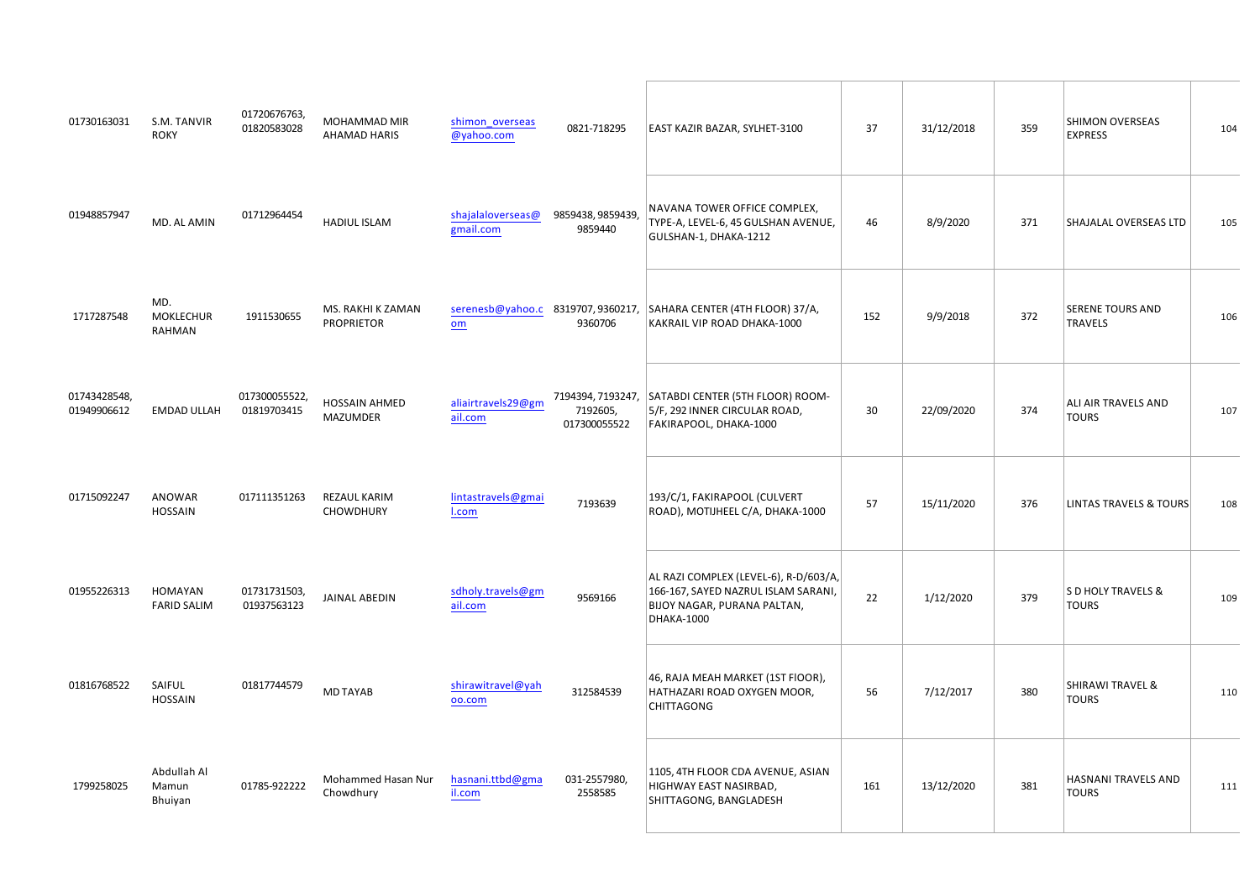| $\#$                                                                                                                                                                                                                       | & % &                                                        | # # # $\%$ % % %<br>! $\%$                                                                                                                                                                                                                                          | $\vert \cdot \vert$                                                                                                                        | $\mathcal{S} = \mathcal{S}$                                                                                                                                                                                                                                                                                                        |       |          | $\sim 1$     | $\frac{9}{10}$   |           |
|----------------------------------------------------------------------------------------------------------------------------------------------------------------------------------------------------------------------------|--------------------------------------------------------------|---------------------------------------------------------------------------------------------------------------------------------------------------------------------------------------------------------------------------------------------------------------------|--------------------------------------------------------------------------------------------------------------------------------------------|------------------------------------------------------------------------------------------------------------------------------------------------------------------------------------------------------------------------------------------------------------------------------------------------------------------------------------|-------|----------|--------------|------------------|-----------|
| $\mathcal{P}^{\mathbf{m}}=\mathbf{1}\in\mathcal{P}^{\mathbf{m}}$ .                                                                                                                                                         | % & %                                                        | $\#$ " " ! "<br>$\%$                                                                                                                                                                                                                                                | $\left( \begin{array}{cc} 1 & 0 \\ & \ddots \\ & & 1 \end{array} \right) \left( \begin{array}{cc} 1 & 0 \\ 0 & \ddots \end{array} \right)$ | $\%$<br>$\pmb{\ast}$<br>$\#$ ! ,                                                                                                                                                                                                                                                                                                   | $"$ # |          |              | $\overline{a}$   | $\bar{1}$ |
| $\sim 1\%$ .                                                                                                                                                                                                               | $\%$ &<br>%<br>$\%$                                          | $\frac{1}{2}$ #!! % & '%                                                                                                                                                                                                                                            | $\begin{array}{cc} & \# \\ \# & \# \end{array}$                                                                                            | $\theta_{\rm c}$                                                                                                                                                                                                                                                                                                                   | $\pm$ |          |              |                  | $\#$      |
| $\begin{array}{ccc} & \text{\textbf{m}} & \text{\textbf{m}} & \text{\textbf{m}} \\ & \text{\textbf{m}} & \text{\textbf{m}} & \text{\textbf{m}} \\ & \text{\textbf{m}} & \text{\textbf{m}} & \text{\textbf{m}} \end{array}$ | $\%$                                                         | $\begin{array}{c} \begin{array}{c} \text{!} \ \text{!} \ \end{array} \\ \begin{array}{c} \text{"} \ \end{array} & \begin{array}{c} \text{!} \ \end{array} \\ \begin{array}{c} \text{!} \ \end{array} & \begin{array}{c} \text{!} \ \end{array} \end{array}$<br>$\%$ | $\begin{array}{c} \# \quad ! \\ \quad ! \; ! \; ! \end{array}$                                                                             | $\sim 1$<br>$\mathbb S$<br>$\%$<br>$\mathbf{I}$                                                                                                                                                                                                                                                                                    |       |          | $\mathbf{u}$ |                  |           |
| $\sim 10^{-10}$                                                                                                                                                                                                            |                                                              | $\frac{1}{2}$ # $\frac{1}{2}$ %                                                                                                                                                                                                                                     | $\#$                                                                                                                                       | % (                                                                                                                                                                                                                                                                                                                                | $\pm$ | $\sim 1$ | $\#$         | $\omega_{\rm c}$ |           |
| $\frac{11}{4}$                                                                                                                                                                                                             | $\%$<br>%                                                    | $\frac{1}{1\#}$<br>$($ \$                                                                                                                                                                                                                                           | !# ##                                                                                                                                      | $\begin{array}{cc} & & \\ \# \# & \# \\ \end{array}$<br>$\%$ $\qquad$ $\frac{*}{\cdot}$<br>$\begin{array}{cc} \text{\#} & \text{\#} \\ \text{\%} & \end{array}$<br>$\bar{f}$<br>$\updownarrow$ ( ,                                                                                                                                 |       |          |              | $\mathbb{Z}^+$   |           |
| $\#$ $\#$ !                                                                                                                                                                                                                |                                                              | $\mathbb{R}^n\mathbb{R}$<br>$\%$<br>$\sqrt[6]{3}$                                                                                                                                                                                                                   | $\pm$ "1                                                                                                                                   | " # ( % % $\frac{6}{1}$ % $\frac{6}{1}$ % $\frac{6}{1}$ % $\frac{6}{1}$ % $\frac{6}{1}$<br>6<br>$\mathcal{A}^{\mathcal{A}}$ and $\mathcal{A}^{\mathcal{A}}$                                                                                                                                                                        | !#    |          |              | $\blacksquare$   |           |
|                                                                                                                                                                                                                            | A 3 5 6 661 (<br>$\frac{1}{2}$ $\frac{1}{25}$ ;<br>\$05: D1; | $% / 0 1 2 2 9 8 7 1 ; 5 =$<br>$\pm$<br>$0 / @ 305 = D$                                                                                                                                                                                                             | $\frac{\Pi}{\Pi(1,1)}$                                                                                                                     | $\sim1$ $^{\circ}$<br>$\begin{array}{ccc} & \vdots & & \multicolumn{3}{c}{\text{\bf 5}}\\ & \multicolumn{3}{c}{\text{\bf 6}}\\ \multicolumn{3}{c}{\text{\bf 7}}\\ & \multicolumn{3}{c}{\text{\bf 8}}\\ & \multicolumn{3}{c}{\text{\bf 9}}\\ & \multicolumn{3}{c}{\text{\bf 1}}\\ & \multicolumn{3}{c}{\text{\bf 1}}\\ \end{array}$ | $\#$  |          |              |                  |           |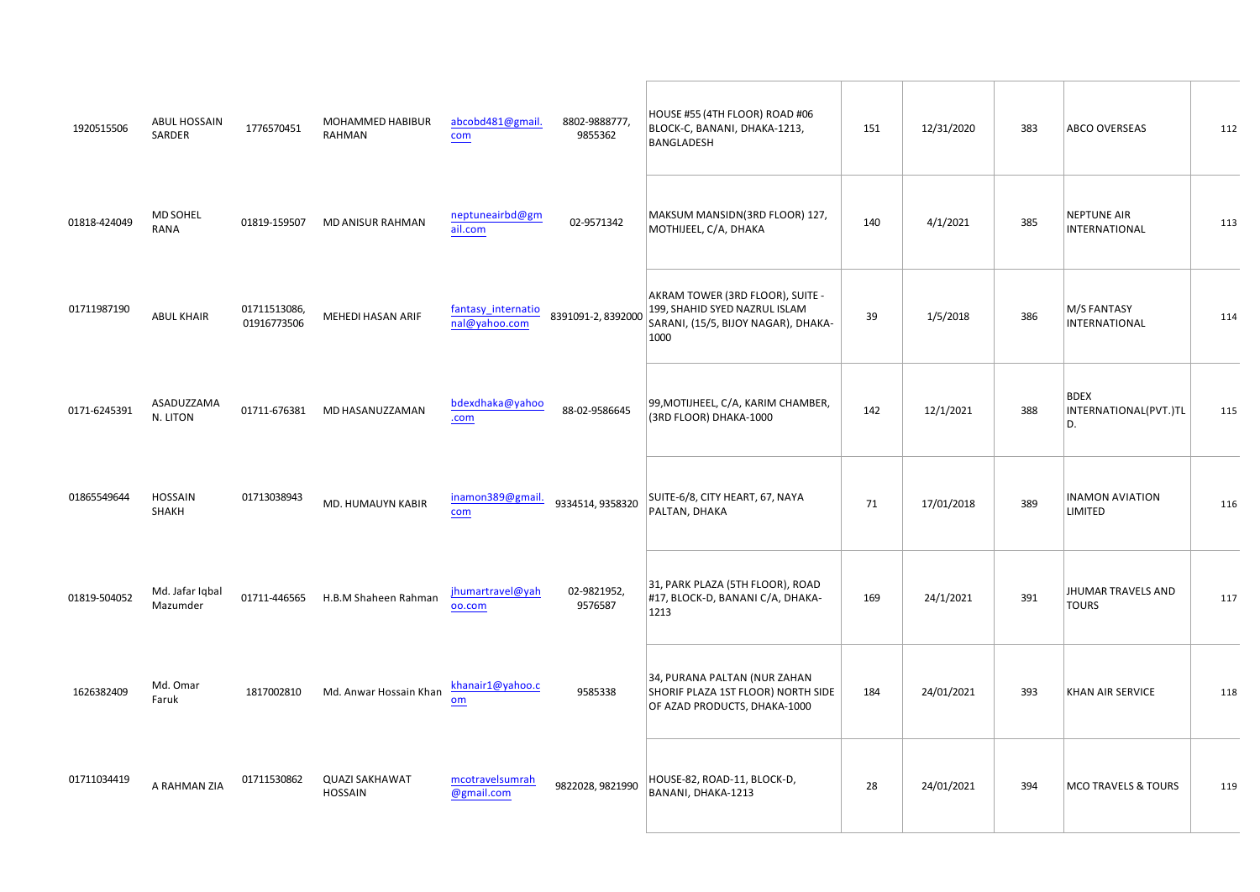| $1 \t11 \t#$ \$                      |                             | #! "! % % % \$ \$<br>$\frac{1!}{4}$                                                                                                                                                                                                                                                                                 |         | $+11$ "<br>$+$ #<br>$\begin{array}{c} \circ \\ \circ \\ \circ \end{array}$<br>$\sqrt{2}$                                                                                                                                                                                                                                                                                                                                      | $\pm$          |                |              | $\mathbb{S}$            |       |
|--------------------------------------|-----------------------------|---------------------------------------------------------------------------------------------------------------------------------------------------------------------------------------------------------------------------------------------------------------------------------------------------------------------|---------|-------------------------------------------------------------------------------------------------------------------------------------------------------------------------------------------------------------------------------------------------------------------------------------------------------------------------------------------------------------------------------------------------------------------------------|----------------|----------------|--------------|-------------------------|-------|
| $\mathbf{u}=\mathbf{u}=\mathbf{u}$ . | $\%$                        | $\Gamma=2$<br>$\pm$ 1.<br>$\%$<br>$\%$                                                                                                                                                                                                                                                                              |         | $\frac{\%}{\%}$<br>$\frac{0}{0}$<br>$\left($                                                                                                                                                                                                                                                                                                                                                                                  | $\mathbf{u}$   | $\mathbf{u}$   | $\mathbf{I}$ |                         |       |
|                                      | $\sqrt[6]{3}$               | $\begin{array}{cc} ! & \# \\ \# & \vdots \# \end{array}$ %                                                                                                                                                                                                                                                          |         | $\%$<br>and the con-<br>$\%$<br>$\frac{1}{5}$ $\frac{1}{5}$ $\frac{6}{5}$ $\frac{1}{5}$                                                                                                                                                                                                                                                                                                                                       |                | $\mathbf{I}$   | $\#$         | %                       |       |
| $\#$ " !                             | $^{\prime\prime}$ %<br>$\&$ | $\cdot$ %<br>$\#$ $\#$<br>%                                                                                                                                                                                                                                                                                         | $ $ ##" | $%$ (<br>$%$ %\$                                                                                                                                                                                                                                                                                                                                                                                                              | $\mathbf{u}$ . |                |              | $\int$ $\int$<br>8<br>& | $\pm$ |
| $\#$ !!" $\#$ ""                     |                             | $\theta_{\rm{eff}}$<br>$\sim 2.1$ , $\sim 1$<br>% & %<br>$\boldsymbol{\mathsf{S}}$                                                                                                                                                                                                                                  |         | $\#$<br>$\#$                                                                                                                                                                                                                                                                                                                                                                                                                  |                |                |              | %<br>$\%$               | $\#$  |
| $\sim 10^{10}$ . In (                | % 3 (&1 < 1G=A<br>%185239   | $\begin{array}{c} 1 \\ 1 \end{array}$<br>""#!#! & \$ & % 1 0 9 91; 0 2 1 -                                                                                                                                                                                                                                          |         | $2 - 1$<br>$+$ \$<br>$\sqrt[6]{\frac{1}{2}}$                                                                                                                                                                                                                                                                                                                                                                                  | $\#$           | $\mathbf{u}$   |              | ( %)                    |       |
| $#$ # "                              | % 3 & $1 =$<br>$1 = 5 B$    | $\pm$ 1<br>% 3 & @ 1 $\neq$ 7 7 1 :0 1 -                                                                                                                                                                                                                                                                            |         | $\label{eq:2.1} \begin{split} \mathbf{u} &= \mathbf{u} + \mathbf{v} \mathbf{u} + \mathbf{v} \mathbf{u} + \mathbf{v} \mathbf{u} + \mathbf{v} \mathbf{u} \mathbf{u} + \mathbf{v} \mathbf{u} \mathbf{u} + \mathbf{v} \mathbf{u} \mathbf{u} + \mathbf{v} \mathbf{u} \mathbf{u} \mathbf{u} + \mathbf{v} \mathbf{u} \mathbf{u} \mathbf{u} + \mathbf{v} \mathbf{u} \mathbf{u} \mathbf{u} + \mathbf{v} \mathbf{u} \mathbf{u} \mathbf$ | $\sim 10$      | $\mathbf{u}$   |              |                         |       |
| $\mathbf{0}$ .                       | %                           | $\frac{1}{2}$ $\frac{1}{2}$ $\frac{1}{2}$ $\frac{1}{2}$ $\frac{1}{2}$ $\frac{1}{2}$ $\frac{1}{2}$ $\frac{1}{2}$ $\frac{1}{2}$ $\frac{1}{2}$ $\frac{1}{2}$ $\frac{1}{2}$ $\frac{1}{2}$ $\frac{1}{2}$ $\frac{1}{2}$ $\frac{1}{2}$ $\frac{1}{2}$ $\frac{1}{2}$ $\frac{1}{2}$ $\frac{1}{2}$ $\frac{1}{2}$ $\frac{1}{2}$ |         | $\,$<br>$$\mathbb{S}$$                                                                                                                                                                                                                                                                                                                                                                                                        |                | $\mathbf{u}$ . | $\mathbf{u}$ | $\%$                    |       |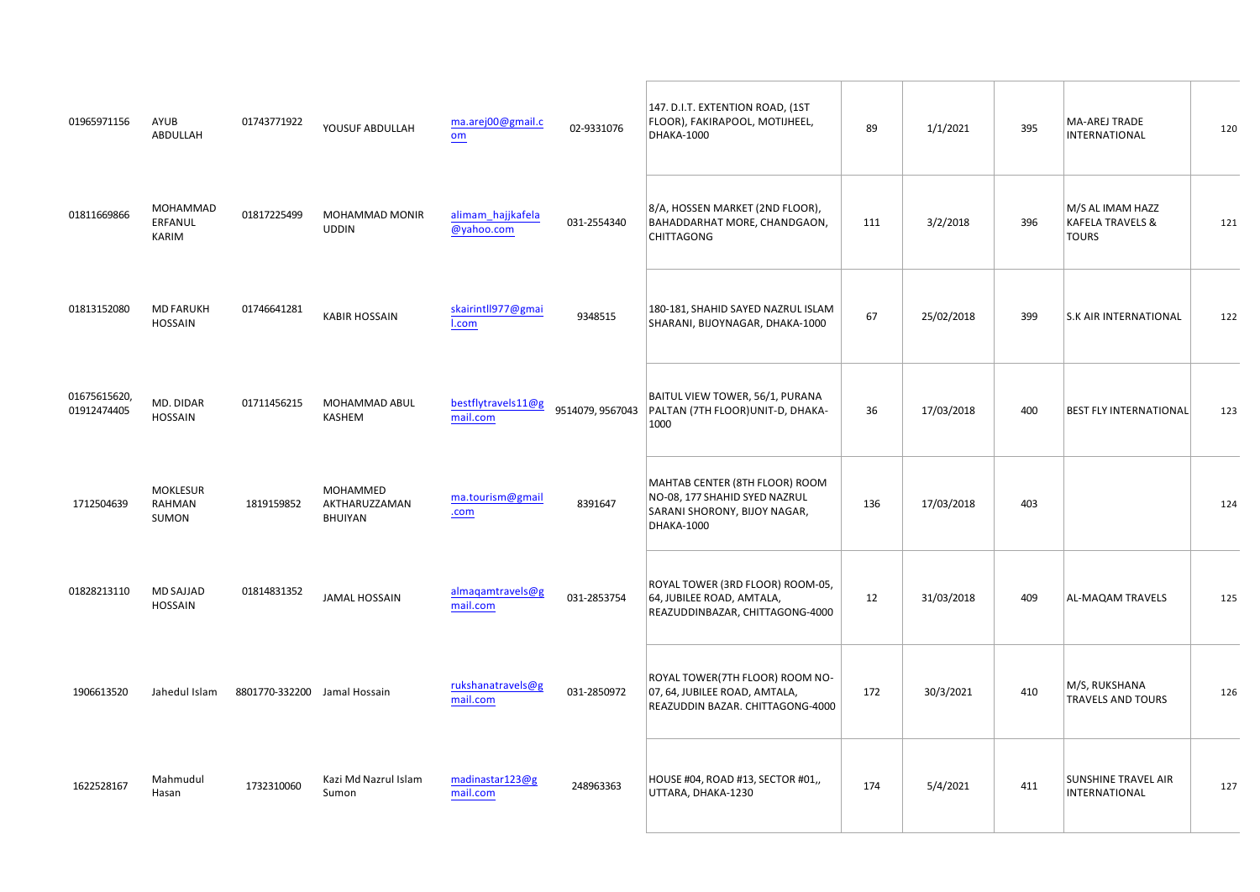|                                           | $\mathfrak{S}$                       |         | #! !# \$ " \$                                                                                                                   | $\frac{1}{2}$ and $\frac{1}{2}$ . If $\frac{1}{2}$ and $\frac{1}{2}$                                                                                                                                                                                                                                                                                                                                                                 | $\#$             | " & & $8 \cdot 8$<br>%                                                                                                                                                                                                                                                           |                                      |                                                           | $\mathbf{I}$                  | %<br>$\overline{a}$         |              |
|-------------------------------------------|--------------------------------------|---------|---------------------------------------------------------------------------------------------------------------------------------|--------------------------------------------------------------------------------------------------------------------------------------------------------------------------------------------------------------------------------------------------------------------------------------------------------------------------------------------------------------------------------------------------------------------------------------|------------------|----------------------------------------------------------------------------------------------------------------------------------------------------------------------------------------------------------------------------------------------------------------------------------|--------------------------------------|-----------------------------------------------------------|-------------------------------|-----------------------------|--------------|
| # # # #                                   | $%$ % %<br>$\%$                      |         | $\frac{1}{1}$ % % % %                                                                                                           |                                                                                                                                                                                                                                                                                                                                                                                                                                      | $\sim 110^{-10}$ | %<br>$\%$<br>\$<br>$\overline{\phantom{a}}$<br>$\mathcal{A}^{\mathcal{A}}$ and $\mathcal{A}^{\mathcal{A}}$ .                                                                                                                                                                     |                                      |                                                           | #                             | $\%$<br>$%$ % $"$<br>$\sim$ |              |
| $\sim 1$ .                                | $\%$                                 | " # # " | $\boldsymbol{\mathsf{S}}$                                                                                                       | $\begin{array}{c}\n\hline\n\end{array}$                                                                                                                                                                                                                                                                                                                                                                                              |                  | $\%$                                                                                                                                                                                                                                                                             | $\#$                                 | $\mathbf{I}$                                              |                               | $\pmb{\&}$                  |              |
|                                           | # !# !#<br>" " "   % & " !# ! % % \$ |         |                                                                                                                                 | $\begin{array}{ccccccccccccc} \textbf{1} & \textbf{1} & \textbf{1} & \textbf{1} & \textbf{1} & \textbf{1} & \textbf{1} & \textbf{1} & \textbf{1} & \textbf{1} & \textbf{1} & \textbf{1} & \textbf{1} & \textbf{1} & \textbf{1} & \textbf{1} & \textbf{1} & \textbf{1} & \textbf{1} & \textbf{1} & \textbf{1} & \textbf{1} & \textbf{1} & \textbf{1} & \textbf{1} & \textbf{1} & \textbf{1} & \textbf{1} & \textbf{1} & \textbf{1} &$ |                  | $\frac{1}{2}$<br>\$                                                                                                                                                                                                                                                              | $\#$                                 |                                                           | $\mathbf{u}$ .                | $\sqrt[6]{3}$               |              |
| $\frac{1}{2}$ $\frac{1}{2}$ $\frac{1}{2}$ | %<br>$\%$<br>%                       |         | $\begin{array}{ccccc}\n & & \frac{96}{6} & \frac{96}{6} \\  & \frac{1}{3} & & \frac{1}{96} \\  & \frac{5}{3} & & \n\end{array}$ |                                                                                                                                                                                                                                                                                                                                                                                                                                      | $\#$ "           | $\%$<br>$\mathcal{S}$<br>$\%$<br>$\sim 100$ km s $^{-1}$<br>$\quad \  \  \, \mathbb{S} \quad (\quad \quad \, ,$                                                                                                                                                                  | $\#$                                 |                                                           | $\mathbf{u}$                  |                             |              |
|                                           | % (( $" '$ ! ( %                     |         |                                                                                                                                 | $\label{eq:2.1} \frac{1}{\sqrt{2\pi}}\frac{1}{\sqrt{2\pi}}\frac{1}{\sqrt{2\pi}}\frac{1}{\sqrt{2\pi}}\frac{1}{\sqrt{2\pi}}\frac{1}{\sqrt{2\pi}}\frac{1}{\sqrt{2\pi}}\frac{1}{\sqrt{2\pi}}\frac{1}{\sqrt{2\pi}}\frac{1}{\sqrt{2\pi}}\frac{1}{\sqrt{2\pi}}\frac{1}{\sqrt{2\pi}}\frac{1}{\sqrt{2\pi}}\frac{1}{\sqrt{2\pi}}\frac{1}{\sqrt{2\pi}}\frac{1}{\sqrt{2\pi}}\frac{1}{\sqrt{2\pi}}\frac{1}{\sqrt$                                 |                  |                                                                                                                                                                                                                                                                                  |                                      |                                                           | $\mathbf{u}$ and $\mathbf{u}$ | $%$ ) %                     | $\mathbf{I}$ |
|                                           | $\# \#$ ! (109335661 (1216771:;      |         |                                                                                                                                 |                                                                                                                                                                                                                                                                                                                                                                                                                                      | $\sim 1$         | $\%$<br>$\begin{array}{ccccc} \# \text{ '' ( } $ \$ & & \text{\% } \\ \text{ ' } & & \text{\$ } & \text{\% } \\ \end{array}, \quad \begin{array}{ccccc} \text{\#} \text{ '' & & \# \\ \text{\#} \text{ ' } & & \text{\# } \\ \text{\#} \text{ ' } & & \text{\# } \\ \end{array}$ |                                      |                                                           | $\mathbf{u}$                  | $\%$                        | $\#$         |
| $#$ ! #                                   | %102535<br>171;                      |         | # $18\%318 = 576612$ # # # 52/<br>$52/$ ;                                                                                       |                                                                                                                                                                                                                                                                                                                                                                                                                                      |                  | $\pm$ - $\pm$<br>$+$                                                                                                                                                                                                                                                             | $\mathbf{u} = \mathbf{u} \mathbf{u}$ | $\mathbf{I}=\mathbf{I}^{\mathrm{max}}$ . The $\mathbf{I}$ | $\sim 100$                    |                             |              |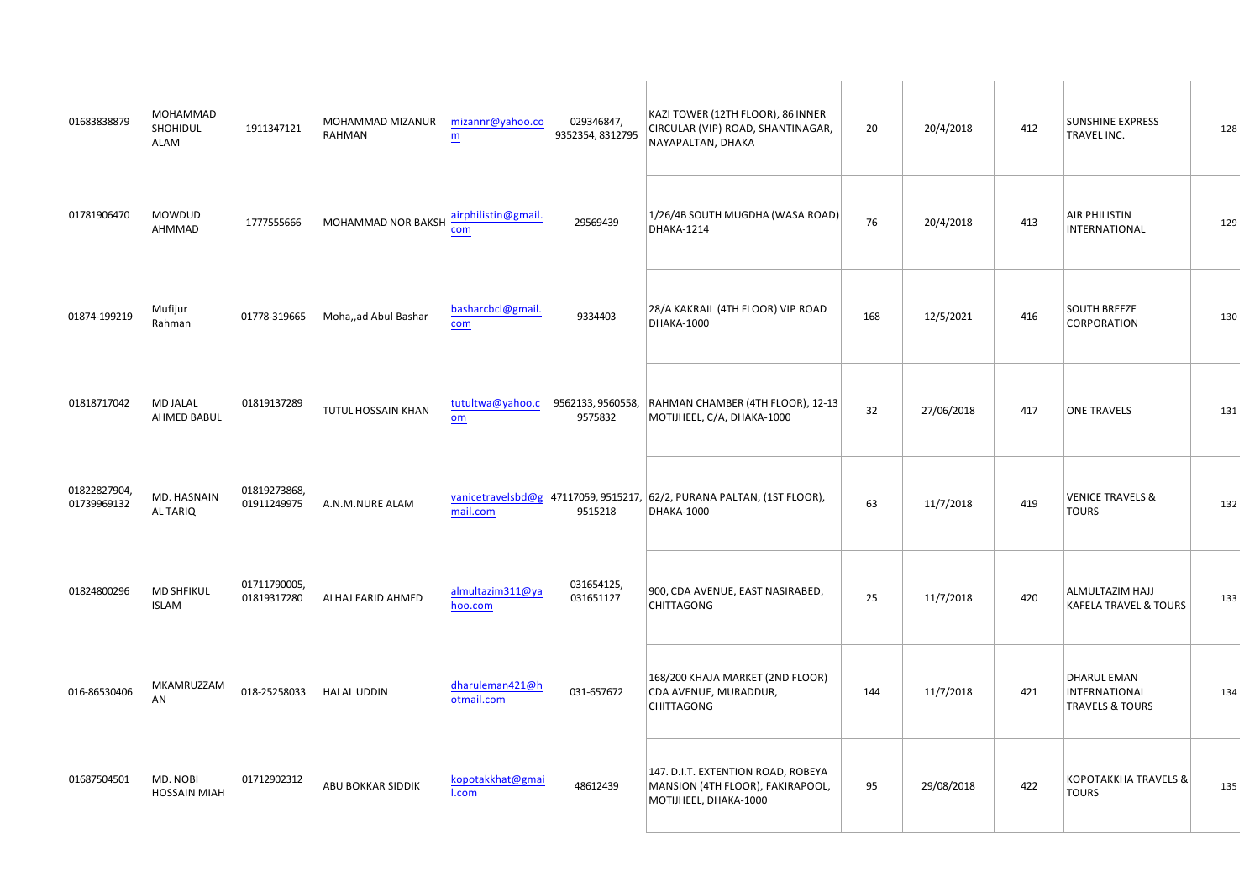| $\#$                         | % %%<br>$\%$              | $\%$ % % % ' $\%$<br>$\mathbf{u}$ .                                                                                             |                | $"$ # $"$<br>$1\times10^{-5}$<br>$\mathbf{I}$ | $\mathbf{I}$                                                                                                                                                                                                                                                                                                                                                                                                                                                                                                                          | $\#$<br>$\sim$ |                 | $\mathbf{u}$ | $\mathbf{u}$ | $\star$<br>$\pmb{8}$        |              |
|------------------------------|---------------------------|---------------------------------------------------------------------------------------------------------------------------------|----------------|-----------------------------------------------|---------------------------------------------------------------------------------------------------------------------------------------------------------------------------------------------------------------------------------------------------------------------------------------------------------------------------------------------------------------------------------------------------------------------------------------------------------------------------------------------------------------------------------------|----------------|-----------------|--------------|--------------|-----------------------------|--------------|
| $\#$ "                       | $\%$<br>$\%$ $\%$         | $!$ !!!### %<br>$\%$ %<br>$\$$                                                                                                  |                | $!$ # "                                       | $\begin{array}{ccccc}\n# & " \$ & \quad \sqrt{\ }\\  & & \ \end{array}\n\quad \begin{array}{ccccc}\n% & & \times & \times\\ \n% & & \times & \times\\ \n% & & \times & \times\\ \n% & & \times & \times\\ \n% & & \times & \times\\ \n% & & \times & \times\\ \n% & & \times & \times\\ \n% & & \times & \times\\ \n% & & \times & \times\\ \n% & & \times & \times\\ \n% & & \times & \times\\ \n% & & \times & \times\\ \n% & & \times & \times\\ \n% & & \times & \times\\ \n% & & \times & \times\\ \n% & & \times & \times\\ \n% |                | $\#$            | $\mathbf{H}$ | $\mathbf{u}$ |                             |              |
|                              | % $5 < 145 =$<br>1021;    | ##! %/01 A35\$61701                                                                                                             |                | $\mathbf{H}$                                  | $\mathbf{u}$                                                                                                                                                                                                                                                                                                                                                                                                                                                                                                                          |                | $\#$            | $\mathbf{I}$ | " $#$        | $\frac{1}{2}$               |              |
| $\theta$                     | % (<br>$%$ \$ \$          |                                                                                                                                 | $\equiv$       | !#<br>$! \# ! \! !$<br>$\pm1$                 | $\%$<br>$%$ \$ "<br>% $($                                                                                                                                                                                                                                                                                                                                                                                                                                                                                                             |                |                 | $\#$         | $\mathbf{u}$ |                             |              |
| $\#$                         | $\%$ &<br>$\rightarrow$   | $\begin{array}{cccc} & & \# & & \\ & & \cdot & & \cdot & \\ & & & \cdot & & \otimes & \otimes \otimes \otimes \end{array}$<br>% | $\blacksquare$ | $\pm$ 1.1 $\pm$<br>$\pm$ $\pm$                | $\#$                                                                                                                                                                                                                                                                                                                                                                                                                                                                                                                                  |                | $\#$            |              | $\mathbf{u}$ | $\omega_{\rm c}$            |              |
| $\mathbf{u}$<br># $\%$       | $\%$                      | $\mathbf{1}$<br>$\overline{(\ }$<br>$\%$                                                                                        |                | $\#$ ! "<br>$\#$ !                            | $\,$ , $\,$ , $\,$                                                                                                                                                                                                                                                                                                                                                                                                                                                                                                                    | $\,$           | $\pm$           |              | $\mathbf{u}$ | $'$ % ( (<br>$\%$<br>$\sim$ |              |
|                              | # #! $\frac{1}{2}$ % % '' | $\pm$ 1                                                                                                                         |                | $\#$ ! $\; \#$                                | $\begin{array}{c} \sqrt{6} \\ \sqrt{6} \end{array}$<br>$\#$<br>$\mathcal{A}^{\mathcal{A}}$ , $\mathcal{A}^{\mathcal{A}}$                                                                                                                                                                                                                                                                                                                                                                                                              |                | $\mathbf{u}$ as |              | $\mathbf{u}$ | $\%$<br>$\sim$              | $\mathbf{u}$ |
| $\#$ $\quad$ ! $\,$ " ! $\,$ | $\%$ & $\$$<br>$\%$       | \$                                                                                                                              |                | " $\#$ "                                      | $"$ & & $"$ & $"$<br>$\%$<br>$\sim 0.1$<br>$\%$<br>$\overline{a}$                                                                                                                                                                                                                                                                                                                                                                                                                                                                     | $\mathbb{S}$   | $\pm$           |              | $\mathbf{u}$ |                             | $\mathbf{I}$ |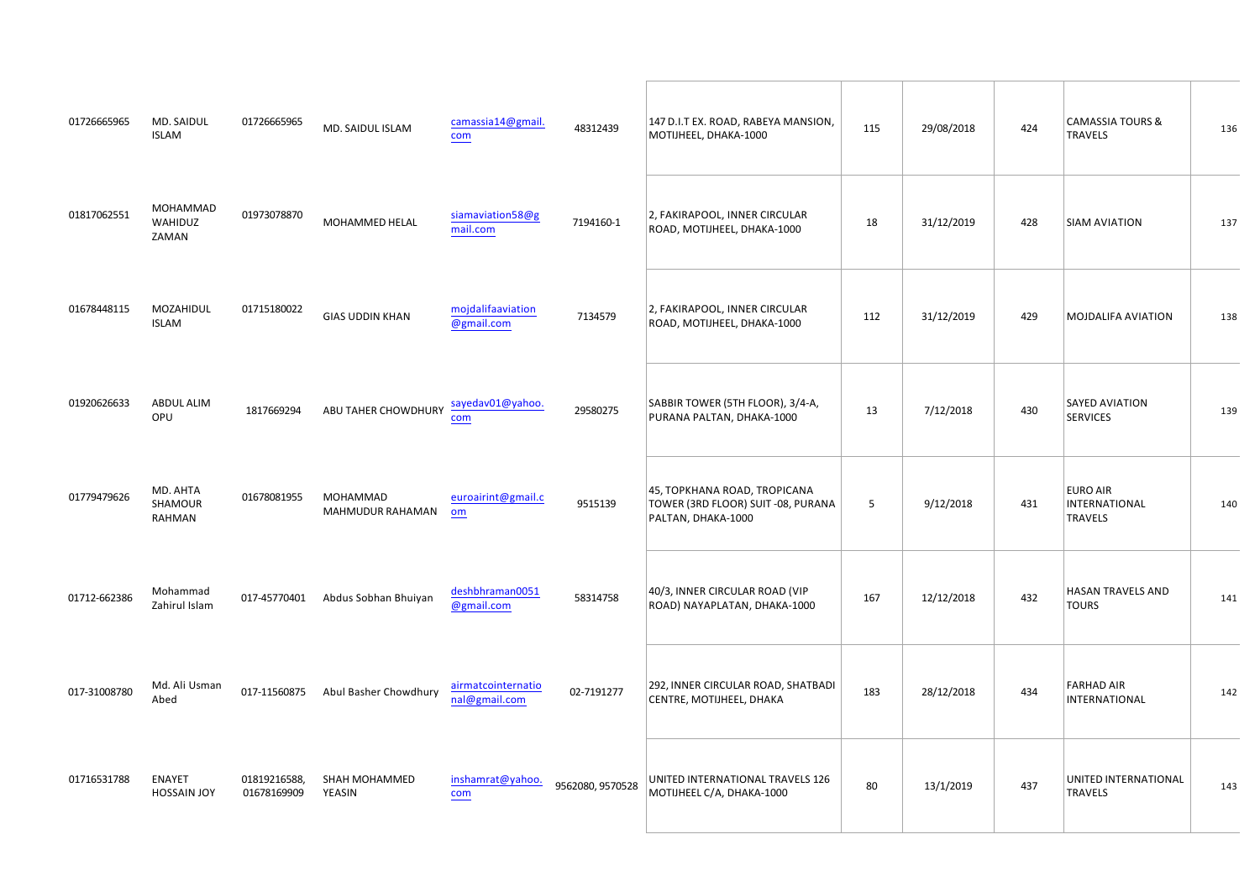| ###! #! % &<br>$\%$                          | ###! #! $\%$ &<br>$\%$                                                                                              | $\begin{array}{ccc} & \text{\bf \texttt{8}} & \text{\bf \texttt{8}}^{\ast}\text{ }\text{\bf 8} \\ \text{\bf \texttt{96}} & \text{\bf \texttt{(}} & \text{\bf \texttt{8}} \\ \end{array}$<br>$$  \%$ | $\pm 1$      | $\mathbf{u}=\mathbf{u}$ . | $\%$<br>$\blacksquare$ | #            |
|----------------------------------------------|---------------------------------------------------------------------------------------------------------------------|-----------------------------------------------------------------------------------------------------------------------------------------------------------------------------------------------------|--------------|---------------------------|------------------------|--------------|
| % %%<br>$#$ !!<br><b>Contract</b><br>9/6     | $\mathbf{u}$<br>% %%<br>$"$ #                                                                                       | % (                                                                                                                                                                                                 |              | $\mathbf{u}$              | $\%$                   |              |
| # "" ! % '<br>%                              | $\frac{1}{\sqrt{2}}\int_{\mathbb{R}^{2}}\left  \frac{1}{\sqrt{2}}\right  d\mathbf{x}$<br>$\hspace{0.1mm}^{\rm o}$ [ | % (                                                                                                                                                                                                 |              | $\mathbf{u}$              | $%$ (                  |              |
| # ##<br>\$<br>%                              | $\sim$ 1.<br>## $"$ \$<br>$\pm 1$ , $\pm 1$                                                                         | $\mathbf{u}_\perp$<br>\$S<br>$\sim 1$                                                                                                                                                               |              | $\mathbf{u}$              |                        |              |
| $\%$ &<br>" # #<br>$\%$<br>%                 | $\#$<br>$1! \frac{9}{6}$<br>% %<br>$\pm$ 1<br>$\%$ %<br>$\%$<br>$\equiv$                                            | $^{\rm n}$ [                                                                                                                                                                                        | $\mathbf{I}$ | $\blacksquare$            |                        |              |
| ## $\frac{\frac{96}{01221}}{\frac{10}{500}}$ | $\sim 10^{11}$ km $^{-1}$<br>"! " $A357A0 \$ \$;05:D —<br>$\sim$ 1 $^{-10}$ 1.                                      | $\mathbf{H}$                                                                                                                                                                                        | $\#$         | $\mathbf{u}$              |                        | $\mathbf{u}$ |
| % 3 86:721<br>A 9 3                          | $!$ #! A 5\$61 7 0 $\mathcal{D} \neq \mathcal{Q}$ 3 0 $\longleftarrow$                                              | $\boldsymbol{\mathsf{\$}}$<br>$\%$<br>$\overline{a}$                                                                                                                                                |              | $\mathbf{u}=\mathbf{u}$ . |                        | $\mathbf{u}$ |
| $\#$ !<br>$\left($                           | $\#$ !<br>% %%<br>$\frac{1}{2}$ 1#<br>$\sim 1-1$ .<br>$#$ #                                                         | $\#$<br>$\%$ (                                                                                                                                                                                      |              | $\mathbf{u}$              |                        | $\mathbf{u}$ |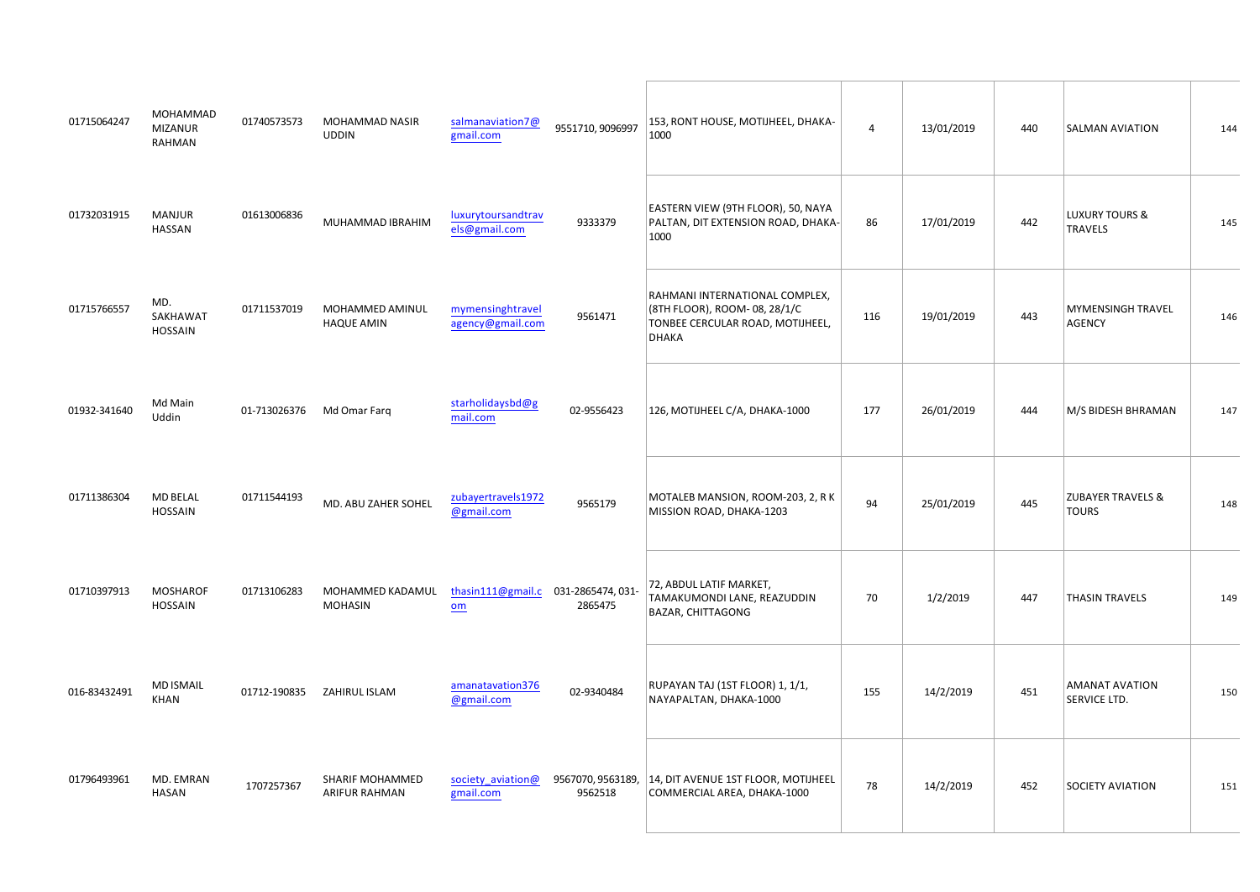| $\pm$ #"                             | %<br>%<br>% %<br>$\mathcal{A}^{\pm}$<br>$\%$ | $\overline{\phantom{a}}$ , $\overline{\phantom{a}}$ , $\overline{\phantom{a}}$ ,<br>% %% | $\sim11$<br>$\#$                                               | $\%$ (<br>$\pm$<br>$\mathbf{u}$ .                                                                                               |                | $\mathbf{0},\mathbf{0}$            | $\%$                                         | $\mathbf{u}(\mathbf{u})$ |
|--------------------------------------|----------------------------------------------|------------------------------------------------------------------------------------------|----------------------------------------------------------------|---------------------------------------------------------------------------------------------------------------------------------|----------------|------------------------------------|----------------------------------------------|--------------------------|
| $\pm$                                | % (                                          | # # # $\%$<br>$% \%$ \$                                                                  | % $\overset{*}{\overbrace{\qquad \qquad }^{*}}$                | $\cdot$ !<br>$^\star$<br>$\#$                                                                                                   |                | $\mathbf{0}$ at                    | $\star$<br>$\sim$                            | $\ ^{n}$ [               |
| $!$ ##!!                             | $%$ &                                        | $\pm$<br>$\%$<br>$\% \%$ %<br>) %<br>$\rightarrow$                                       | !# $\hspace{0.1mm}$ "                                          | $\%$<br>$\%$<br>$\pmb{\star}$<br>$\%$<br>$\#$<br>$% \mathcal{N}$ (<br>$\,$                                                      |                | $\mathbf{u}$ as                    | $\%$ $\%$<br>$\,$<br>$\mathbf{r}$            | $\,$ " $\#$              |
| $"$ $\#$ "                           | $% 3\% 1$ : ;<br>$33$ : ;                    | # # % 3 2 1 = 1 = G                                                                      | $\,$ !<br>! # $\,$ "                                           | $\#$ % $\qquad$ (                                                                                                               | $\#$           | $\mathbf{0},\mathbf{0},\mathbf{0}$ | $%$ \$<br>$$\mathbb{S}$$<br>$\%$             | $\mathbf{u}$             |
| # $"$                                | $%$ \$                                       | $\langle 1 \rangle$ ,<br>% &\$                                                           | $!$ #!                                                         | $\%$<br>%<br>%<br>$\frac{\mathcal{D}}{\mathcal{D}}$<br>$\mathbf{u}$                                                             | $\mathbf{I}$   | $\mathbb{R}^n$ .                   | $^{\prime}$ $\,$ $\,$ $\,$<br>$\blacksquare$ | $\mathfrak n$            |
|                                      | $\%$                                         | $\#$<br>%<br>%<br>$\%$ $\%$<br>$\%$                                                      | $\begin{array}{c} \# \, ! \, " \\ \# \, ! \, " \\ \end{array}$ | $\sqrt[6]{3}$<br>$\%$<br>$\sim 100$<br>$\%$<br>$\%$<br>$$^{\circ}$<br>$\mathcal{A}^{\mathcal{A}}$ , $\mathcal{A}^{\mathcal{A}}$ |                | $\mathbf{0},\mathbf{0}$            |                                              | $\mathbf{u}$             |
| $\#$ $\longrightarrow$ $\mathcal{I}$ | $%$ %                                        | $\pm$ $^{-1}$<br>$\%$                                                                    | $\mathbf{u}=\mathbf{u}=\mathbf{u}$ .                           | $\overline{a}$<br>$\pm 1$                                                                                                       | $\mathbf{u}$   | $\mathcal{P}(\mathcal{V})$         | $\%$<br>$\pmb{8}$                            | $\pm$                    |
| # $"$<br>$\#$                        | %8%                                          | % % %<br>$\frac{1}{2}$ #                                                                 | ! $\#$<br>$\frac{1}{2}$<br>$!$ # $!$                           | $\mathbf{u}$ .<br>$\%$<br>$\overline{a}$<br>$\%$ $\%$                                                                           | $\mathbf{u}$ . | $\ ^{n}$ 1 $\ ^{n}$                |                                              | $\pm$                    |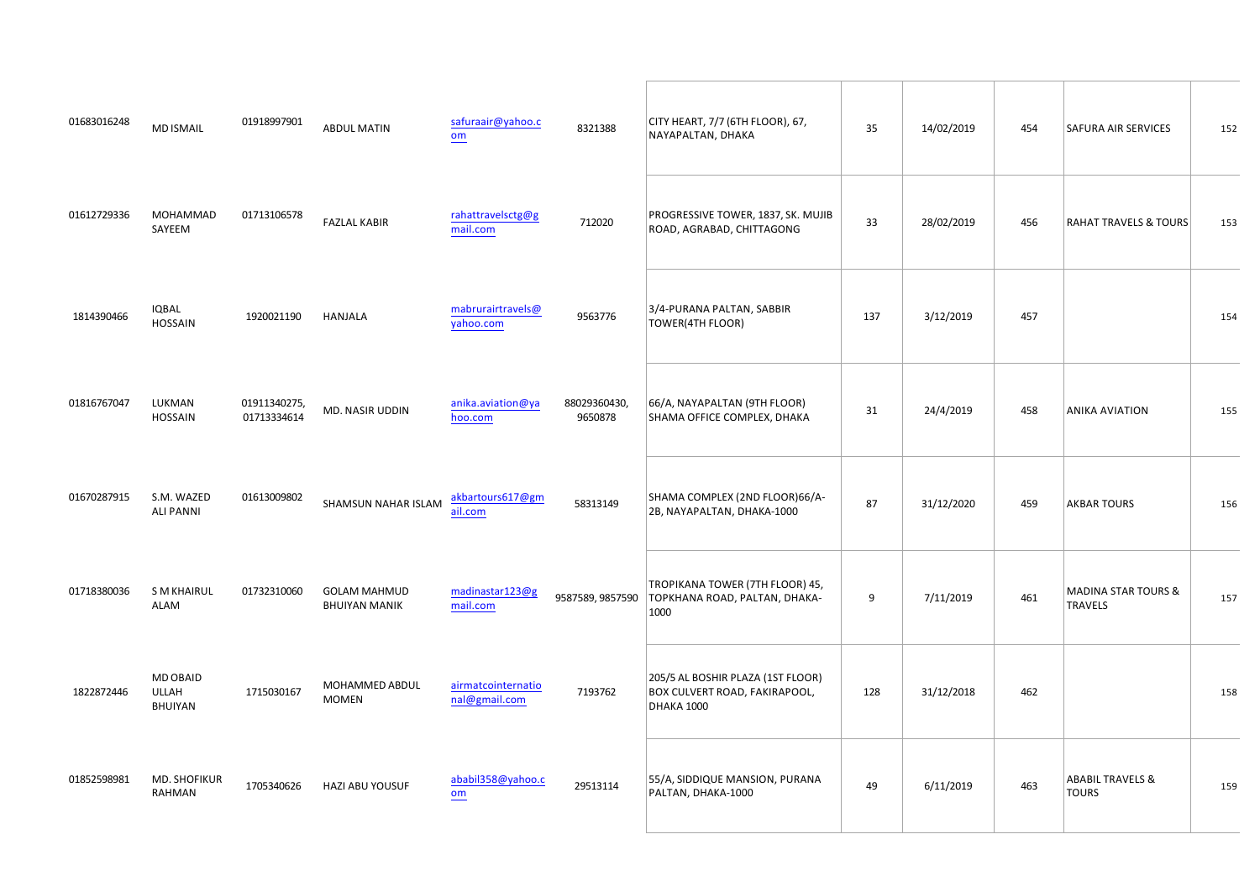| $\#$ $\qquad$ $\#$ $\>$ " $\>$<br>$\%$<br>$\%$ | $\frac{1}{2}$ %                                    |                                                                                            | $\#$<br>#                                                                                                                                                                                                                                                                                                                                                                                                                                                         | $\mathbf{u} = \mathbf{u} \mathbf{u}$ , where $\mathbf{u} = \mathbf{u} \mathbf{u}$<br>$\sim 1$ . | $\hspace{0.1mm}$ " $\hspace{0.1mm}$ " $\hspace{0.1mm}$ " |                                                                                                                                                                                                                                                                                                                                                                                                                                                                  | $\sim 10$                  |
|------------------------------------------------|----------------------------------------------------|--------------------------------------------------------------------------------------------|-------------------------------------------------------------------------------------------------------------------------------------------------------------------------------------------------------------------------------------------------------------------------------------------------------------------------------------------------------------------------------------------------------------------------------------------------------------------|-------------------------------------------------------------------------------------------------|----------------------------------------------------------|------------------------------------------------------------------------------------------------------------------------------------------------------------------------------------------------------------------------------------------------------------------------------------------------------------------------------------------------------------------------------------------------------------------------------------------------------------------|----------------------------|
| $\#$<br># %<br>% %<br>$\%$                     | #!<br><b>Contractor</b><br>$\sqrt[6]{\frac{1}{2}}$ |                                                                                            | $\begin{array}{ccccccccc} \cdot & & & & & & & \mathbf{\mathcal{B}\!/\!\!\!\!\!&} & \  \  \, \cdot & & & & & \  \  \cdot & & & & \  \cdot & & & \  \  \cdot & & & \  \  \cdot & & & \  \  \cdot & & & \  \  \cdot & & & \  \  \cdot & & & \  \  \cdot & & & \  \  \cdot & & & \  \  \cdot & & & \  \  \cdot & & & \  \  \cdot & & & \  \  \cdot & & & \  \  \cdot & & & \  \  \cdot & & & \  \  \cdot & & & \  \  \cdot & & & \  \  \cdot & & & \  \  \cdot & & &$ |                                                                                                 | "!#                                                      | $\omega_{\rm c}$                                                                                                                                                                                                                                                                                                                                                                                                                                                 | $\sim 1$                   |
| $)$ \$<br>$"$ $"$ $#$ #                        | $\overline{(\ }$                                   | $!$ # #                                                                                    | $\mathop{\$} \mathop{\$}$<br>$\mathbf{u}$                                                                                                                                                                                                                                                                                                                                                                                                                         |                                                                                                 | $\mathcal{P}(\mathcal{I})$                               |                                                                                                                                                                                                                                                                                                                                                                                                                                                                  | $\mathbb{R}^{\frac{1}{2}}$ |
| $\#$ $\#$ $\quad$ "<br>%                       | $\frac{1}{\pi}$ $\frac{1}{\pi}$ % &                | $#$ "<br>#!                                                                                | # #<br>$\%$ $\quad$ $\ast$<br>$\%$                                                                                                                                                                                                                                                                                                                                                                                                                                | $\mathbf{u}=\mathbf{u}$                                                                         | $\ ^{0}$<br>[ $\ ^{0}$                                   |                                                                                                                                                                                                                                                                                                                                                                                                                                                                  | $\sim 11$                  |
| #<br>18%8                                      | $\#$<br>$\%$                                       | 8 (    <br>$\%$                                                                            | $\frac{9}{5}$ % $\frac{1}{5}$<br>$\#$ $\#$                                                                                                                                                                                                                                                                                                                                                                                                                        |                                                                                                 | $\ ^{0}$ ! $\ ^{0}$                                      | $\,$                                                                                                                                                                                                                                                                                                                                                                                                                                                             | $\frac{1}{4}$              |
| $\#$<br>$\%$                                   | #, %% %<br>\$ %                                    | $\sim 1/1$ , $\sim 1.1$<br>$\frac{1}{\sqrt{2\pi}}\left( \frac{1}{\sqrt{2\pi}}\right) ^{2}$ | $\hspace{0.1mm}$ " $\hspace{0.1mm}$ "                                                                                                                                                                                                                                                                                                                                                                                                                             |                                                                                                 | " $#$                                                    | $\%$<br>$\gamma$                                                                                                                                                                                                                                                                                                                                                                                                                                                 | $\sim 10^5$                |
| % $$$<br>" " #<br>$\$$                         | $\frac{1}{2}$ # $\frac{\%}{6}$ % % \$              | $\#$                                                                                       | $\frac{1}{2}$ $\frac{1}{2}$ $\frac{1}{2}$ $\frac{1}{2}$<br>$\int$ $\int$ $\frac{1}{2}$                                                                                                                                                                                                                                                                                                                                                                            |                                                                                                 | $\,$ " $\#$                                              |                                                                                                                                                                                                                                                                                                                                                                                                                                                                  | $\sim 10$                  |
| $\pm 1$<br>% & $\frac{8}{\%}$                  | $!$ " # # $"$ \$                                   | $\begin{array}{c cccc}\n\hline\n\end{array}$                                               |                                                                                                                                                                                                                                                                                                                                                                                                                                                                   | $\mathbf{u}$ .<br>#                                                                             | "#                                                       | $\begin{array}{ccccccccc}\n\text{\$} & & & & & \text{\$} & & & \text{\$} & & \text{\$} & & \text{\$} & \text{\$} & \text{\$} & \text{\$} & \text{\$} & \text{\$} & \text{\$} & \text{\$} & \text{\$} & \text{\$} & \text{\$} & \text{\$} & \text{\$} & \text{\$} & \text{\$} & \text{\$} & \text{\$} & \text{\$} & \text{\$} & \text{\$} & \text{\$} & \text{\$} & \text{\$} & \text{\$} & \text{\$} & \text{\$} & \text{\$} & \text{\$} & \text{\$} & \text{\$$ | $\sim 10^6$                |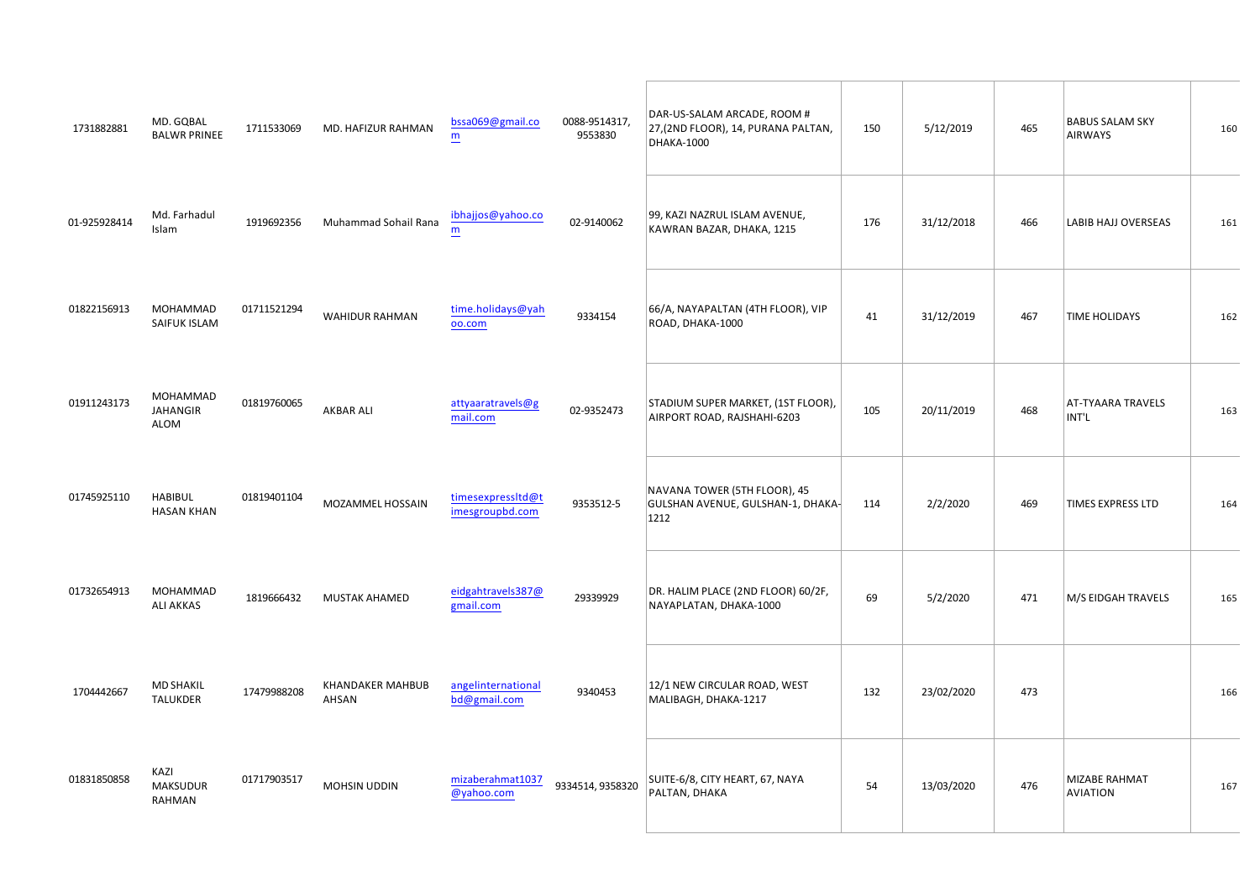|                                                                                      | $\begin{matrix} 0 & 0 \\ 0 & 0 \end{matrix}$      | % & $\frac{1}{2}$ %<br>$\frac{1}{2}$ #  | $\sim10^6$<br>$\frac{18}{2}$<br>$\pm 1$                                                                                                                                                                                                                                                                                                                                                                                                                              | $\%$<br>$% +$                                                                                | $\mathbf{I}$ | "#!<br>$\mathbf{1}$   | \$<br>$\%$            | $\#$                  |
|--------------------------------------------------------------------------------------|---------------------------------------------------|-----------------------------------------|----------------------------------------------------------------------------------------------------------------------------------------------------------------------------------------------------------------------------------------------------------------------------------------------------------------------------------------------------------------------------------------------------------------------------------------------------------------------|----------------------------------------------------------------------------------------------|--------------|-----------------------|-----------------------|-----------------------|
|                                                                                      | $% 3.81 = 0.1$<br>7612                            | # !# %501221/301:16;1-                  | $"$ #<br>$\overline{\phantom{a}}$                                                                                                                                                                                                                                                                                                                                                                                                                                    | $\mathbf{H}^{\prime}$ and $\mathbf{H}^{\prime}$<br>$\%$<br>$\mathsf{S}^{-1}$<br>$\mathbf{I}$ | $\#$         | $"$ ##                | $$ $ $$ $ $($         | $\#$                  |
| !#                                                                                   | $\%$<br>% %<br>$\%$                               | $10^{-10}\,$<br>$\%$                    | $\mathbf{u} \in \mathbb{R}^{n}$                                                                                                                                                                                                                                                                                                                                                                                                                                      | $\mathbf{u}$<br>$\#$ $\#$                                                                    | $\mathbf{u}$ | $"$ #                 | $\%$                  | $\#$                  |
| $\mathbf{u}$                                                                         | $\%$<br>% %<br>$\overline{(\ }$<br>$\sim$<br>$\%$ | $#$ #!<br>$\boldsymbol{\$}$             | $\pm$ $^{-1}$                                                                                                                                                                                                                                                                                                                                                                                                                                                        | $\%$<br>$\%$<br>$\#$                                                                         | $\mathbf{I}$ | $"$ #                 | $\sim$                | $\#$                  |
| $\ ^{n}1-1$                                                                          | $$ $                                              | $\vert 0 \vert = \vert 0 \vert$<br>%'%% | $\frac{1}{\sqrt{2}}\left( \frac{1}{\sqrt{2}}\right) \frac{1}{\sqrt{2}}\left( \frac{1}{\sqrt{2}}\right) \frac{1}{\sqrt{2}}\left( \frac{1}{\sqrt{2}}\right) \frac{1}{\sqrt{2}}\left( \frac{1}{\sqrt{2}}\right) \frac{1}{\sqrt{2}}\left( \frac{1}{\sqrt{2}}\right) \frac{1}{\sqrt{2}}\left( \frac{1}{\sqrt{2}}\right) \frac{1}{\sqrt{2}}\left( \frac{1}{\sqrt{2}}\right) \frac{1}{\sqrt{2}}\left( \frac{1}{\sqrt{2}}\right) \frac{1}{\sqrt{2}}\left$<br>$\pm 1$ $\pm 1$ | $^{\rm n}$ !<br>$\mathbf{I}$<br>$\mathbf{r}$<br>$\sim$                                       | $\mathbf{u}$ | " $#$                 | $\%$ $\quad$ $^*$     | $\#^{\shortparallel}$ |
| $\#$ ! "                                                                             | $\%$<br>$\%$ $\%$                                 | $\#$ $\#$ $\#$ "<br>$\%$<br>$\%$        |                                                                                                                                                                                                                                                                                                                                                                                                                                                                      | &<br>$\%$<br>$\#$                                                                            | $\#$         | $\mathbf{u}$<br>$\pm$ | $\%$<br>$\sim$ $\sim$ | $\#!$                 |
| $\begin{array}{cc} \texttt{""} & \texttt{""} & \texttt{\#}\ \texttt{\#} \end{array}$ | $\%$                                              | $%$ \$ \$<br>$\mathbf{u}$               | $\mathcal{P}=\mathcal{P}$ .                                                                                                                                                                                                                                                                                                                                                                                                                                          | $\%$ $\qquad$ $\$\quad,$                                                                     |              | $\mathbf{u}$          |                       | $\# \#$               |
| $\pm$ 1.                                                                             | $\mathcal{A}$<br>$\%$<br>$\%$                     | $\pm$<br>$\%$                           | $\sim 200$ M $_\odot$ M $_\odot$                                                                                                                                                                                                                                                                                                                                                                                                                                     | $\#$<br>$\#$                                                                                 | $\pm$ "      | $"$ #                 | $\%$ ' $\,$ $\,$ $\%$ | $\#$                  |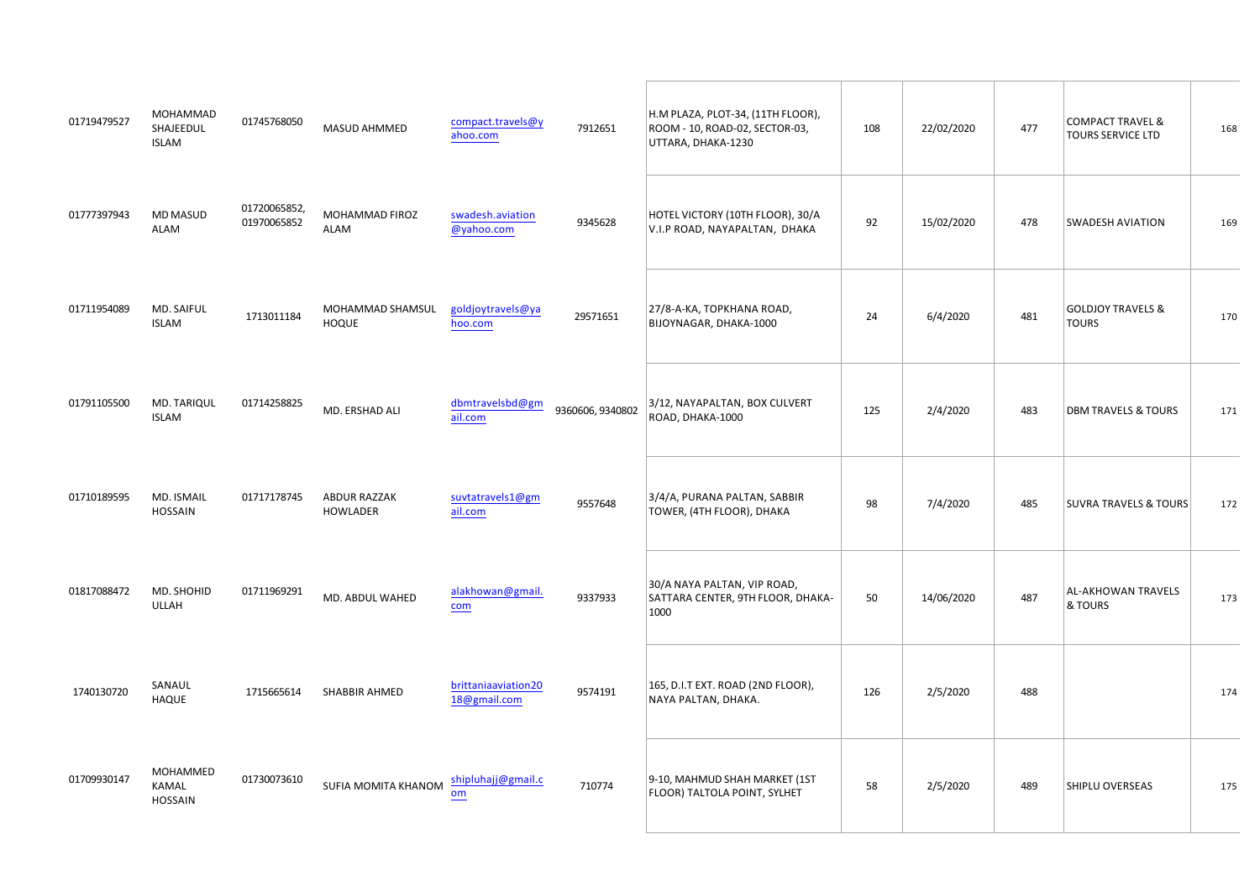| $\mathcal{P}=\mathcal{P}$ | % %% $\frac{6}{96}$     | "! # ! $\%$<br>% %              | #!                                                                   | $8\%$<br>$\%$                                                                        |                |                  | $\mathbf{u}$               | $\%$<br>$\sim$             | $\#$          |
|---------------------------|-------------------------|---------------------------------|----------------------------------------------------------------------|--------------------------------------------------------------------------------------|----------------|------------------|----------------------------|----------------------------|---------------|
| $\mathbf{u}$              | % %<br>%                | #!! % %% }                      | "!#                                                                  | & &                                                                                  |                | $\pm$            | $\mathbf{u}$               |                            | $\#$          |
| $\sim1$ "                 | $%$ &<br>$\%$           | %<br>$%$ % % %<br>$\rightarrow$ | $\frac{1}{2}$ #1                                                     | $\quad \  \  \, \$ \quad (\qquad ,$                                                  | $\mathbf{u}$ . | $#$ "            | $\mathbf{u}$               | $,$ (<br>$\sim 10^{11}$ km |               |
| $\pm 1$                   |                         |                                 | $\#$ $\#$ $\#$ "                                                     | $\mathbb{S}$ *                                                                       | $\pm$          | $\mathbf{H}$ .   | $\mathbf{u}$               | $\,$ %<br>$\blacksquare$   |               |
|                           | $!$ $\frac{1}{2}$ % & % |                                 | $\left  \cdot \right $ $\left  \cdot \right $ $\left  \cdot \right $ | $\sqrt[6]{3}$<br>$\mathbf{u}$<br>$\label{eq:1} \mathbf{u} = \mathbf{u} + \mathbf{v}$ |                | $\mathbf{u}$     | $\mathcal{P}(\mathcal{A})$ | $\omega_{\rm c}$           |               |
| $\mathbf{u}$ .            | $%$ &                   | # $% 8$ \$                      |                                                                      |                                                                                      | $\pm$          | $"$ $\quad$ $\#$ | $\mathbf{u}$               | $\overline{a}$             |               |
|                           | $\lambda$               | ! # # ! # "<br>\$ \$ %          | $\sim 10^{-10}$                                                      | #! & $8^*$ &<br>$\pmb{8}$                                                            | $\#$           | $\pm$            | $\mathbf{u}_\parallel$     |                            | $\mathfrak n$ |
|                           | % % % $\frac{9}{6}$     | $\#$<br>$\%$ $\%$               | $\frac{1}{\sqrt{2}}$                                                 | $\%$ $\%$<br>$\%$                                                                    | $\pm$          | $\sim 1$         | $\vert 0 \rangle$          |                            | $\sim 1$      |